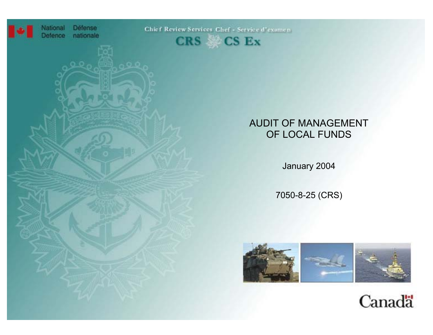

National **Défense** Defence nationale

Chief Review Services Chef - Service d'examen



# AUDIT OF MANAGEMENT OF LOCAL FUNDS

January 2004

7050-8-25 (CRS)



Canadä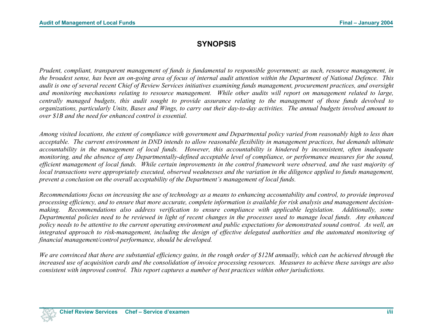# **SYNOPSIS**

*Prudent, compliant, transparent management of funds is fundamental to responsible government; as such, resource management, in the broadest sense, has been an on-going area of focus of internal audit attention within the Department of National Defence. This audit is one of several recent Chief of Review Services initiatives examining funds management, procurement practices, and oversight and monitoring mechanisms relating to resource management. While other audits will report on management related to large, centrally managed budgets, this audit sought to provide assurance relating to the management of those funds devolved to organizations, particularly Units, Bases and Wings, to carry out their day-to-day activities. The annual budgets involved amount to over \$1B and the need for enhanced control is essential.* 

*Among visited locations, the extent of compliance with government and Departmental policy varied from reasonably high to less than acceptable. The current environment in DND intends to allow reasonable flexibility in management practices, but demands ultimate accountability in the management of local funds. However, this accountability is hindered by inconsistent, often inadequate monitoring, and the absence of any Departmentally-defined acceptable level of compliance, or performance measures for the sound, efficient management of local funds. While certain improvements in the control framework were observed, and the vast majority of local transactions were appropriately executed, observed weaknesses and the variation in the diligence applied to funds management, prevent a conclusion on the overall acceptability of the Department's management of local funds.* 

*Recommendations focus on increasing the use of technology as a means to enhancing accountability and control, to provide improved processing efficiency, and to ensure that more accurate, complete information is available for risk analysis and management decisionmaking. Recommendations also address verification to ensure compliance with applicable legislation. Additionally, some Departmental policies need to be reviewed in light of recent changes in the processes used to manage local funds. Any enhanced policy needs to be attentive to the current operating environment and public expectations for demonstrated sound control. As well, an integrated approach to risk-management, including the design of effective delegated authorities and the automated monitoring of financial management/control performance, should be developed.* 

*We are convinced that there are substantial efficiency gains, in the rough order of \$12M annually, which can be achieved through the increased use of acquisition cards and the consolidation of invoice processing resources. Measures to achieve these savings are also consistent with improved control. This report captures a number of best practices within other jurisdictions.*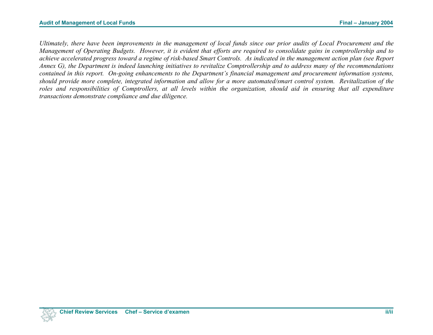*Ultimately, there have been improvements in the management of local funds since our prior audits of Local Procurement and the Management of Operating Budgets. However, it is evident that efforts are required to consolidate gains in comptrollership and to achieve accelerated progress toward a regime of risk-based Smart Controls. As indicated in the management action plan (see Report Annex G), the Department is indeed launching initiatives to revitalize Comptrollership and to address many of the recommendations contained in this report. On-going enhancements to the Department's financial management and procurement information systems, should provide more complete, integrated information and allow for a more automated/smart control system. Revitalization of the*  roles and responsibilities of Comptrollers, at all levels within the organization, should aid in ensuring that all expenditure *transactions demonstrate compliance and due diligence.*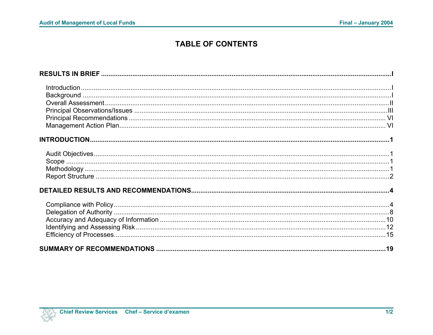# **TABLE OF CONTENTS**

| $\small \textsf{Introduction} \normalsize \dots \normalsize \dots \normalsize \dots \normalsize \dots \normalsize \dots \normalsize \dots \normalsize \dots \normalsize \dots \normalsize \dots \normalsize \dots \normalsize \dots \normalsize \dots \normalsize \dots \normalsize \dots \normalsize \dots \normalsize \dots \normalsize \dots \normalsize \dots \normalsize \dots \normalsize \dots \normalsize \dots \normalsize \dots \normalsize \dots \normalsize \dots \normalsize \dots \normalsize \dots \normalsize \dots \normalsize \dots \normalsize \dots \normalsize \dots \normalsize \dots \normalsize \dots \normalsize \dots \normalsize \dots \normalsize \dots \norm$ |  |
|--------------------------------------------------------------------------------------------------------------------------------------------------------------------------------------------------------------------------------------------------------------------------------------------------------------------------------------------------------------------------------------------------------------------------------------------------------------------------------------------------------------------------------------------------------------------------------------------------------------------------------------------------------------------------------------------|--|
|                                                                                                                                                                                                                                                                                                                                                                                                                                                                                                                                                                                                                                                                                            |  |
|                                                                                                                                                                                                                                                                                                                                                                                                                                                                                                                                                                                                                                                                                            |  |
|                                                                                                                                                                                                                                                                                                                                                                                                                                                                                                                                                                                                                                                                                            |  |
|                                                                                                                                                                                                                                                                                                                                                                                                                                                                                                                                                                                                                                                                                            |  |
|                                                                                                                                                                                                                                                                                                                                                                                                                                                                                                                                                                                                                                                                                            |  |
|                                                                                                                                                                                                                                                                                                                                                                                                                                                                                                                                                                                                                                                                                            |  |
|                                                                                                                                                                                                                                                                                                                                                                                                                                                                                                                                                                                                                                                                                            |  |
|                                                                                                                                                                                                                                                                                                                                                                                                                                                                                                                                                                                                                                                                                            |  |
|                                                                                                                                                                                                                                                                                                                                                                                                                                                                                                                                                                                                                                                                                            |  |
|                                                                                                                                                                                                                                                                                                                                                                                                                                                                                                                                                                                                                                                                                            |  |
|                                                                                                                                                                                                                                                                                                                                                                                                                                                                                                                                                                                                                                                                                            |  |
|                                                                                                                                                                                                                                                                                                                                                                                                                                                                                                                                                                                                                                                                                            |  |
|                                                                                                                                                                                                                                                                                                                                                                                                                                                                                                                                                                                                                                                                                            |  |
|                                                                                                                                                                                                                                                                                                                                                                                                                                                                                                                                                                                                                                                                                            |  |
|                                                                                                                                                                                                                                                                                                                                                                                                                                                                                                                                                                                                                                                                                            |  |
|                                                                                                                                                                                                                                                                                                                                                                                                                                                                                                                                                                                                                                                                                            |  |
|                                                                                                                                                                                                                                                                                                                                                                                                                                                                                                                                                                                                                                                                                            |  |
|                                                                                                                                                                                                                                                                                                                                                                                                                                                                                                                                                                                                                                                                                            |  |
|                                                                                                                                                                                                                                                                                                                                                                                                                                                                                                                                                                                                                                                                                            |  |
|                                                                                                                                                                                                                                                                                                                                                                                                                                                                                                                                                                                                                                                                                            |  |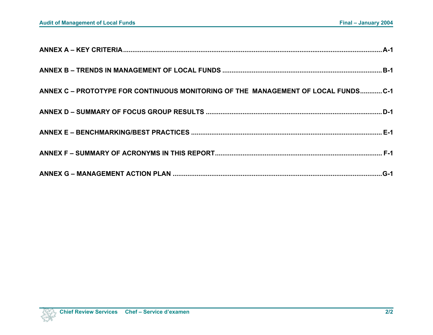| ANNEX C - PROTOTYPE FOR CONTINUOUS MONITORING OF THE MANAGEMENT OF LOCAL FUNDSC-1 |  |
|-----------------------------------------------------------------------------------|--|
|                                                                                   |  |
|                                                                                   |  |
|                                                                                   |  |
|                                                                                   |  |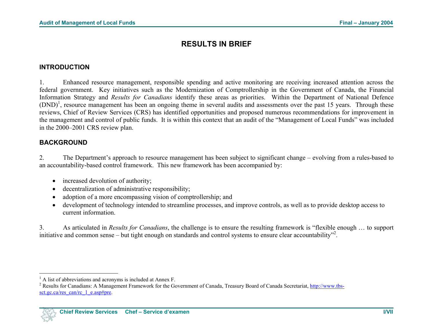# **RESULTS IN BRIEF**

#### <span id="page-5-1"></span><span id="page-5-0"></span>**INTRODUCTION**

1. Enhanced resource management, responsible spending and active monitoring are receiving increased attention across the federal government. Key initiatives such as the Modernization of Comptrollership in the Government of Canada, the Financial Information Strategy and *Results for Canadians* identify these areas as priorities. Within the Department of National Defence  $(DND)^1$ , resource management has been an ongoing theme in several audits and assessments over the past 15 years. Through these reviews, Chief of Review Services (CRS) has identified opportunities and proposed numerous recommendations for improvement in the management and control of public funds. It is within this context that an audit of the "Management of Local Funds" was included in the 2000–2001 CRS review plan.

#### **BACKGROUND**

2. The Department's approach to resource management has been subject to significant change – evolving from a rules-based to an accountability-based control framework. This new framework has been accompanied by:

- increased devolution of authority;
- decentralization of administrative responsibility;
- adoption of a more encompassing vision of comptrollership; and
- development of technology intended to streamline processes, and improve controls, as well as to provide desktop access to current information.

3. As articulated in *Results for Canadians*, the challenge is to ensure the resulting framework is "flexible enough … to support initiative and common sense – but tight enough on standards and control systems to ensure clear accountability"<sup>[2](#page-5-1)</sup>.

<sup>&</sup>lt;sup>1</sup> A list of abbreviations and acronyms is included at Annex F.

<sup>&</sup>lt;sup>2</sup> Results for Canadians: A Management Framework for the Government of Canada, Treasury Board of Canada Secretariat, http://www.tbssct.gc.ca/res\_can/rc\_1\_e.asp#pre.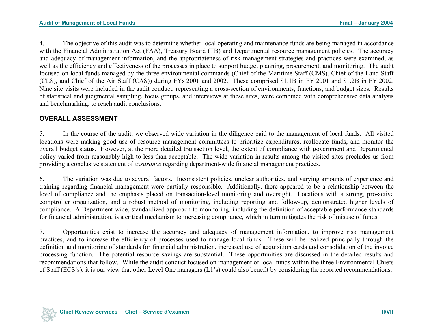4. The objective of this audit was to determine whether local operating and maintenance funds are being managed in accordance with the Financial Administration Act (FAA), Treasury Board (TB) and Departmental resource management policies. The accuracy and adequacy of management information, and the appropriateness of risk management strategies and practices were examined, as well as the efficiency and effectiveness of the processes in place to support budget planning, procurement, and monitoring. The audit focused on local funds managed by the three environmental commands (Chief of the Maritime Staff (CMS), Chief of the Land Staff (CLS), and Chief of the Air Staff (CAS)) during FYs 2001 and 2002. These comprised \$1.1B in FY 2001 and \$1.2B in FY 2002. Nine site visits were included in the audit conduct, representing a cross-section of environments, functions, and budget sizes. Results of statistical and judgmental sampling, focus groups, and interviews at these sites, were combined with comprehensive data analysis and benchmarking, to reach audit conclusions.

#### **OVERALL ASSESSMENT**

5. In the course of the audit, we observed wide variation in the diligence paid to the management of local funds. All visited locations were making good use of resource management committees to prioritize expenditures, reallocate funds, and monitor the overall budget status. However, at the more detailed transaction level, the extent of compliance with government and Departmental policy varied from reasonably high to less than acceptable. The wide variation in results among the visited sites precludes us from providing a conclusive statement of *assurance* regarding department-wide financial management practices.

6. The variation was due to several factors. Inconsistent policies, unclear authorities, and varying amounts of experience and training regarding financial management were partially responsible. Additionally, there appeared to be a relationship between the level of compliance and the emphasis placed on transaction-level monitoring and oversight. Locations with a strong, pro-active comptroller organization, and a robust method of monitoring, including reporting and follow-up, demonstrated higher levels of compliance. A Department-wide, standardized approach to monitoring, including the definition of acceptable performance standards for financial administration, is a critical mechanism to increasing compliance, which in turn mitigates the risk of misuse of funds.

7. Opportunities exist to increase the accuracy and adequacy of management information, to improve risk management practices, and to increase the efficiency of processes used to manage local funds. These will be realized principally through the definition and monitoring of standards for financial administration, increased use of acquisition cards and consolidation of the invoice processing function. The potential resource savings are substantial. These opportunities are discussed in the detailed results and recommendations that follow. While the audit conduct focused on management of local funds within the three Environmental Chiefs of Staff (ECS's), it is our view that other Level One managers (L1's) could also benefit by considering the reported recommendations.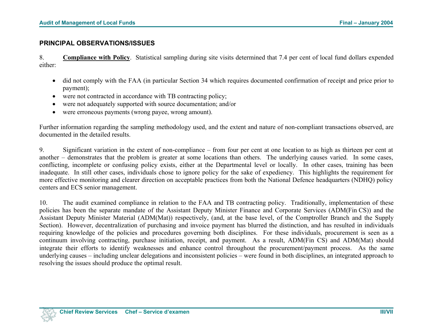#### **PRINCIPAL OBSERVATIONS/ISSUES**

8. **Compliance with Policy**. Statistical sampling during site visits determined that 7.4 per cent of local fund dollars expended either:

- did not comply with the FAA (in particular Section 34 which requires documented confirmation of receipt and price prior to payment);
- were not contracted in accordance with TB contracting policy;
- were not adequately supported with source documentation; and/or
- were erroneous payments (wrong payee, wrong amount).

Further information regarding the sampling methodology used, and the extent and nature of non-compliant transactions observed, are documented in the detailed results.

9. Significant variation in the extent of non-compliance – from four per cent at one location to as high as thirteen per cent at another – demonstrates that the problem is greater at some locations than others. The underlying causes varied. In some cases, conflicting, incomplete or confusing policy exists, either at the Departmental level or locally. In other cases, training has been inadequate. In still other cases, individuals chose to ignore policy for the sake of expediency. This highlights the requirement for more effective monitoring and clearer direction on acceptable practices from both the National Defence headquarters (NDHQ) policy centers and ECS senior management.

10. The audit examined compliance in relation to the FAA and TB contracting policy. Traditionally, implementation of these policies has been the separate mandate of the Assistant Deputy Minister Finance and Corporate Services (ADM(Fin CS)) and the Assistant Deputy Minister Material (ADM(Mat)) respectively, (and, at the base level, of the Comptroller Branch and the Supply Section). However, decentralization of purchasing and invoice payment has blurred the distinction, and has resulted in individuals requiring knowledge of the policies and procedures governing both disciplines. For these individuals, procurement is seen as a continuum involving contracting, purchase initiation, receipt, and payment. As a result, ADM(Fin CS) and ADM(Mat) should integrate their efforts to identify weaknesses and enhance control throughout the procurement/payment process. As the same underlying causes – including unclear delegations and inconsistent policies – were found in both disciplines, an integrated approach to resolving the issues should produce the optimal result.

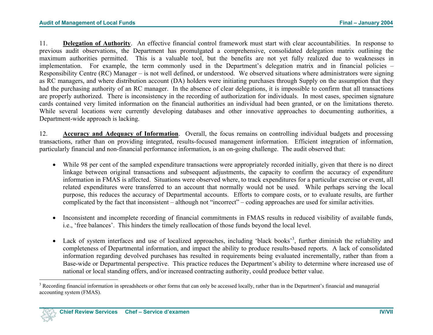<span id="page-8-0"></span>11. **Delegation of Authority**. An effective financial control framework must start with clear accountabilities. In response to previous audit observations, the Department has promulgated a comprehensive, consolidated delegation matrix outlining the maximum authorities permitted. This is a valuable tool, but the benefits are not yet fully realized due to weaknesses in implementation. For example, the term commonly used in the Department's delegation matrix and in financial policies – Responsibility Centre (RC) Manager – is not well defined, or understood. We observed situations where administrators were signing as RC managers, and where distribution account (DA) holders were initiating purchases through Supply on the assumption that they had the purchasing authority of an RC manager. In the absence of clear delegations, it is impossible to confirm that all transactions are properly authorized. There is inconsistency in the recording of authorization for individuals. In most cases, specimen signature cards contained very limited information on the financial authorities an individual had been granted, or on the limitations thereto. While several locations were currently developing databases and other innovative approaches to documenting authorities, a Department-wide approach is lacking.

12. **Accuracy and Adequacy of Information**. Overall, the focus remains on controlling individual budgets and processing transactions, rather than on providing integrated, results-focused management information. Efficient integration of information, particularly financial and non-financial performance information, is an on-going challenge. The audit observed that:

- While 98 per cent of the sampled expenditure transactions were appropriately recorded initially, given that there is no direct linkage between original transactions and subsequent adjustments, the capacity to confirm the accuracy of expenditure information in FMAS is affected. Situations were observed where, to track expenditures for a particular exercise or event, all related expenditures were transferred to an account that normally would not be used. While perhaps serving the local purpose, this reduces the accuracy of Departmental accounts. Efforts to compare costs, or to evaluate results, are further complicated by the fact that inconsistent – although not "incorrect" – coding approaches are used for similar activities.
- Inconsistent and incomplete recording of financial commitments in FMAS results in reduced visibility of available funds, i.e., 'free balances'. This hinders the timely reallocation of those funds beyond the local level.
- Lack of system interfaces and use of localized approaches, including 'black books'<sup>[3](#page-8-0)</sup>, further diminish the reliability and completeness of Departmental information, and impact the ability to produce results-based reports. A lack of consolidated information regarding devolved purchases has resulted in requirements being evaluated incrementally, rather than from a Base-wide or Departmental perspective. This practice reduces the Department's ability to determine where increased use of national or local standing offers, and/or increased contracting authority, could produce better value.

<sup>&</sup>lt;sup>3</sup> Recording financial information in spreadsheets or other forms that can only be accessed locally, rather than in the Department's financial and managerial accounting system (FMAS).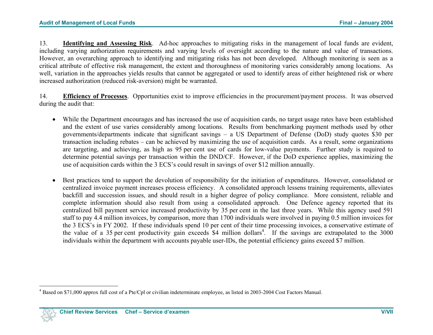<span id="page-9-0"></span>13. **Identifying and Assessing Risk**. Ad-hoc approaches to mitigating risks in the management of local funds are evident, including varying authorization requirements and varying levels of oversight according to the nature and value of transactions. However, an overarching approach to identifying and mitigating risks has not been developed. Although monitoring is seen as a critical attribute of effective risk management, the extent and thoroughness of monitoring varies considerably among locations. As well, variation in the approaches yields results that cannot be aggregated or used to identify areas of either heightened risk or where increased authorization (reduced risk-aversion) might be warranted.

14. **Efficiency of Processes**. Opportunities exist to improve efficiencies in the procurement/payment process. It was observed during the audit that:

- While the Department encourages and has increased the use of acquisition cards, no target usage rates have been established and the extent of use varies considerably among locations. Results from benchmarking payment methods used by other governments/departments indicate that significant savings – a US Department of Defense (DoD) study quotes \$30 per transaction including rebates – can be achieved by maximizing the use of acquisition cards. As a result, some organizations are targeting, and achieving, as high as 95 per cent use of cards for low-value payments. Further study is required to determine potential savings per transaction within the DND/CF. However, if the DoD experience applies, maximizing the use of acquisition cards within the 3 ECS's could result in savings of over \$12 million annually.
- Best practices tend to support the devolution of responsibility for the initiation of expenditures. However, consolidated or centralized invoice payment increases process efficiency. A consolidated approach lessens training requirements, alleviates backfill and succession issues, and should result in a higher degree of policy compliance. More consistent, reliable and complete information should also result from using a consolidated approach. One Defence agency reported that its centralized bill payment service increased productivity by 35 per cent in the last three years. While this agency used 591 staff to pay 4.4 million invoices, by comparison, more than 1700 individuals were involved in paying 0.5 million invoices for the 3 ECS's in FY 2002. If these individuals spend 10 per cent of their time processing invoices, a conservative estimate of the value of a 35 per cent productivity gain exceeds \$4 million dollars<sup>4</sup>. If the savings are extrapolated to the 3000 individuals within the department with accounts payable user-IDs, the potential efficiency gains exceed \$7 million.

<sup>4</sup> Based on \$71,000 approx full cost of a Pte/Cpl or civilian indeterminate employee, as listed in 2003-2004 Cost Factors Manual.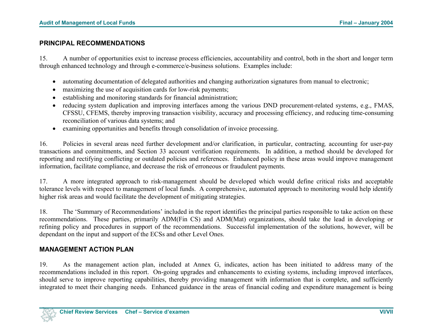#### **PRINCIPAL RECOMMENDATIONS**

15. A number of opportunities exist to increase process efficiencies, accountability and control, both in the short and longer term through enhanced technology and through e-commerce/e-business solutions. Examples include:

- automating documentation of delegated authorities and changing authorization signatures from manual to electronic;
- maximizing the use of acquisition cards for low-risk payments;
- establishing and monitoring standards for financial administration;
- reducing system duplication and improving interfaces among the various DND procurement-related systems, e.g., FMAS, CFSSU, CFEMS, thereby improving transaction visibility, accuracy and processing efficiency, and reducing time-consuming reconciliation of various data systems; and
- examining opportunities and benefits through consolidation of invoice processing.

16. Policies in several areas need further development and/or clarification, in particular, contracting*,* accounting for user-pay transactions and commitments, and Section 33 account verification requirements. In addition, a method should be developed for reporting and rectifying conflicting or outdated policies and references. Enhanced policy in these areas would improve management information, facilitate compliance, and decrease the risk of erroneous or fraudulent payments.

17. A more integrated approach to risk-management should be developed which would define critical risks and acceptable tolerance levels with respect to management of local funds. A comprehensive, automated approach to monitoring would help identify higher risk areas and would facilitate the development of mitigating strategies.

18. The 'Summary of Recommendations' included in the report identifies the principal parties responsible to take action on these recommendations. These parties, primarily ADM(Fin CS) and ADM(Mat) organizations, should take the lead in developing or refining policy and procedures in support of the recommendations. Successful implementation of the solutions, however, will be dependant on the input and support of the ECSs and other Level Ones.

#### **MANAGEMENT ACTION PLAN**

19. As the management action plan, included at Annex G, indicates, action has been initiated to address many of the recommendations included in this report. On-going upgrades and enhancements to existing systems, including improved interfaces, should serve to improve reporting capabilities, thereby providing management with information that is complete, and sufficiently integrated to meet their changing needs. Enhanced guidance in the areas of financial coding and expenditure management is being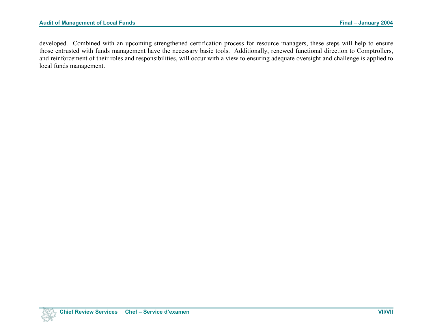developed. Combined with an upcoming strengthened certification process for resource managers, these steps will help to ensure those entrusted with funds management have the necessary basic tools. Additionally, renewed functional direction to Comptrollers, and reinforcement of their roles and responsibilities, will occur with a view to ensuring adequate oversight and challenge is applied to local funds management.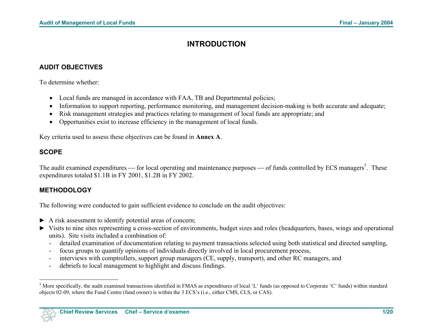# **INTRODUCTION**

#### <span id="page-12-0"></span>**AUDIT OBJECTIVES**

To determine whether:

- Local funds are managed in accordance with FAA, TB and Departmental policies;
- Information to support reporting, performance monitoring, and management decision-making is both accurate and adequate;
- Risk management strategies and practices relating to management of local funds are appropriate; and
- Opportunities exist to increase efficiency in the management of local funds.

Key criteria used to assess these objectives can be found in **Annex A**.

### **SCOPE**

The audit examined expenditures — for local operating and maintenance purposes — of funds controlled by ECS managers<sup>[5](#page-12-0)</sup>. These expenditures totaled \$1.1B in FY 2001, \$1.2B in FY 2002.

### **METHODOLOGY**

The following were conducted to gain sufficient evidence to conclude on the audit objectives:

- ► A risk assessment to identify potential areas of concern;
- ► Visits to nine sites representing a cross-section of environments, budget sizes and roles (headquarters, bases, wings and operational units). Site visits included a combination of:
	- detailed examination of documentation relating to payment transactions selected using both statistical and directed sampling,
	- focus groups to quantify opinions of individuals directly involved in local procurement process,
	- interviews with comptrollers, support group managers (CE, supply, transport), and other RC managers, and
	- debriefs to local management to highlight and discuss findings.

<sup>&</sup>lt;sup>5</sup> More specifically, the audit examined transactions identified in FMAS as expenditures of local 'L' funds (as opposed to Corporate 'C' funds) within standard objects 02-09, where the Fund Centre (fund owner) is within the 3 ECS's (i.e., either CMS, CLS, or CAS).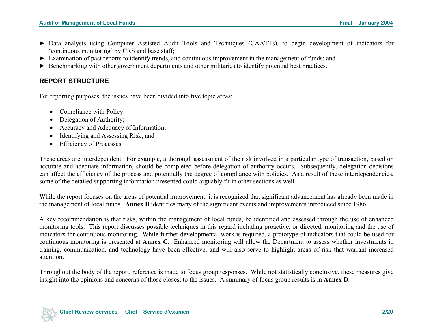- ► Data analysis using Computer Assisted Audit Tools and Techniques (CAATTs), to begin development of indicators for 'continuous monitoring' by CRS and base staff;
- ► Examination of past reports to identify trends, and continuous improvement in the management of funds; and
- ► Benchmarking with other government departments and other militaries to identify potential best practices.

#### **REPORT STRUCTURE**

For reporting purposes, the issues have been divided into five topic areas:

- Compliance with Policy;
- Delegation of Authority;
- Accuracy and Adequacy of Information;
- Identifying and Assessing Risk; and
- Efficiency of Processes.

These areas are interdependent. For example, a thorough assessment of the risk involved in a particular type of transaction, based on accurate and adequate information, should be completed before delegation of authority occurs. Subsequently, delegation decisions can affect the efficiency of the process and potentially the degree of compliance with policies. As a result of these interdependencies, some of the detailed supporting information presented could arguably fit in other sections as well.

While the report focuses on the areas of potential improvement, it is recognized that significant advancement has already been made in the management of local funds. **Annex B** identifies many of the significant events and improvements introduced since 1986.

A key recommendation is that risks, within the management of local funds, be identified and assessed through the use of enhanced monitoring tools. This report discusses possible techniques in this regard including proactive, or directed, monitoring and the use of indicators for continuous monitoring. While further developmental work is required, a prototype of indicators that could be used for continuous monitoring is presented at **Annex C**. Enhanced monitoring will allow the Department to assess whether investments in training, communication, and technology have been effective, and will also serve to highlight areas of risk that warrant increased attention.

Throughout the body of the report, reference is made to focus group responses. While not statistically conclusive, these measures give insight into the opinions and concerns of those closest to the issues. A summary of focus group results is in **Annex D**.

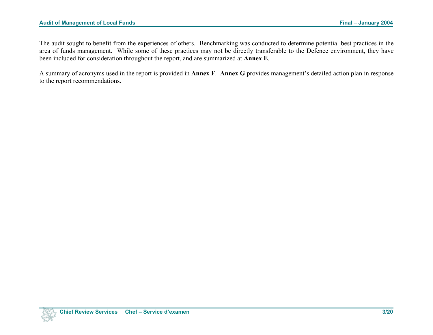#### Audit of Management of Local Funds **Final – January 2004 Final – January 2004**

The audit sought to benefit from the experiences of others. Benchmarking was conducted to determine potential best practices in the area of funds management. While some of these practices may not be directly transferable to the Defence environment, they have been included for consideration throughout the report, and are summarized at **Annex E**.

A summary of acronyms used in the report is provided in **Annex F**. **Annex G** provides management's detailed action plan in response to the report recommendations.

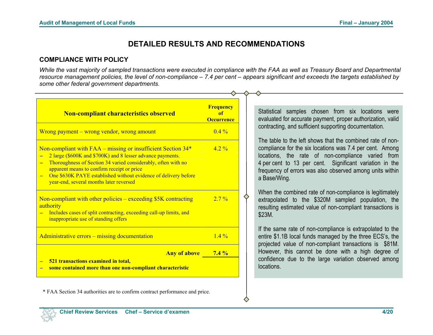# **DETAILED RESULTS AND RECOMMENDATIONS**

#### **COMPLIANCE WITH POLICY**

*While the vast majority of sampled transactions were executed in compliance with the FAA as well as Treasury Board and Departmental resource management policies, the level of non-compliance – 7.4 per cent – appears significant and exceeds the targets established by some other federal government departments.* 

| <b>Frequency</b><br>of<br><b>Occurrence</b> | Statistical samples chosen from six locations were<br>evaluated for accurate payment, proper authorization, valid                                                                                                                                                                                                  |
|---------------------------------------------|--------------------------------------------------------------------------------------------------------------------------------------------------------------------------------------------------------------------------------------------------------------------------------------------------------------------|
| $0.4\%$                                     | contracting, and sufficient supporting documentation.                                                                                                                                                                                                                                                              |
| $42\%$                                      | The table to the left shows that the combined rate of non-<br>compliance for the six locations was 7.4 per cent. Among<br>locations, the rate of non-compliance varied from<br>4 per cent to 13 per cent. Significant variation in the<br>frequency of errors was also observed among units within<br>a Base/Wing. |
| $2.7\%$                                     | When the combined rate of non-compliance is legitimately<br>extrapolated to the \$320M sampled population, the<br>resulting estimated value of non-compliant transactions is<br>\$23M.                                                                                                                             |
| $1.4\%$                                     | If the same rate of non-compliance is extrapolated to the<br>entire \$1.1B local funds managed by the three ECS's, the                                                                                                                                                                                             |
|                                             | projected value of non-compliant transactions is \$81M.<br>However, this cannot be done with a high degree of<br>confidence due to the large variation observed among<br>locations.                                                                                                                                |
|                                             | <b>Any of above 3.4 %</b>                                                                                                                                                                                                                                                                                          |

◇

\* FAA Section 34 authorities are to confirm contract performance and price.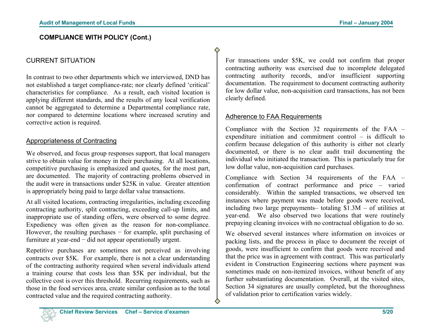#### **COMPLIANCE WITH POLICY (Cont.)**

#### CURRENT SITUATION

In contrast to two other departments which we interviewed, DND has not established a target compliance-rate; nor clearly defined 'critical' characteristics for compliance. As a result, each visited location is applying different standards, and the results of any local verificatio n cannot be aggregated to determine a Departmental compliance rate, nor compared to determine locations where increased scrutiny an dcorrective action is required.

#### Appropriateness of Contracting

We observed, and focus group responses support, that local managers strive to obtain value for money in their purchasing. At all locations, competitive purchasing is emphasized and quotes, for the most part, are documented. The majority of contracting problems observed i nthe audit were in transactions under \$25K in value. Greater attentio n is appropriately being paid to large dollar value transactions.

At all visited locations, contracting irregularities, including exceeding contracting authority, split contracting, exceeding call-up limits, an d inappropriate use of standing offers, were observed to some degree. Expediency was often given as the reason for non-compliance. However, the resulting purchases – for example, split purchasing of furniture at year-end – did not appear operationally urgent.

Repetitive purchases are sometimes not perceived as involving contracts over \$5K. For example, there is not a clear understanding of the contracting authority required when several individuals atten d a training course that costs less than \$5K per individual, but the collective cost is over this threshold. Recurring requirements, such as those in the food services area, create similar confusion as to the total contracted value and the required contracting authority.

For transactions under \$5K, we could not confirm that proper contracting authority was exercised due to incomplete delegate d contracting authority records, and/or insufficient supporting documentation. The requirement to document contracting authority for low dollar value, non-acquisition card transactions, has not bee nclearly defined.

#### Adherence to FAA Requirements

♦

♦

Compliance with the Section 32 requirements of the FAA – expenditure initiation and commitment control – is difficult to confirm because delegation of this authority is either not clearly documented, or there is no clear audit trail documenting the individual who initiated the transaction. This is particularly true for low dollar value, non-acquisition card purchases.

Compliance with Section 34 requirements of the FAA –confirmation of contract performance and price – varie d considerably. Within the sampled transactions, we observed te n instances where payment was made before goods were received, including two large prepayments– totaling \$1.3M – of utilities at year-end. We also observed two locations that were routinely prepaying cleaning invoices with no contractual obligation to do so.

We observed several instances where information on invoices orpacking lists, and the process in place to document the receipt o f goods, were insufficient to confirm that goods were received an d that the price was in agreement with contract. This was particularly evident in Construction Engineering sections where payment was sometimes made on non-itemized invoices, without benefit of any further substantiating documentation. Overall, at the visited sites, Section 34 signatures are usually completed, but the thoroughness of validation prior to certification varies widely.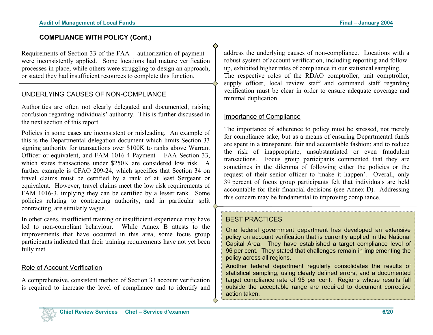#### **COMPLIANCE WITH POLICY (Cont.)**

Requirements of Section 33 of the FAA – authorization of payment – were inconsistently applied. Some locations had mature verification processes in place, while others were struggling to design an approach, or stated they had insufficient resources to complete this function.

#### UNDERLYING CAUSES OF NON-COMPLIANCE

Authorities are often not clearly delegated and documented, raising confusion regarding individuals' authority. This is further discussed in the next section of this report.

Policies in some cases are inconsistent or misleading. An example of this is the Departmental delegation document which limits Section 33 signing authority for transactions over \$100K to ranks above Warrant Officer or equivalent, and FAM 1016-4 Payment – FAA Section 33, which states transactions under \$250K are considered low risk. A further example is CFAO 209-24, which specifies that Section 34 on travel claims must be certified by a rank of at least Sergeant or equivalent. However, travel claims meet the low risk requirements of FAM 1016-3, implying they can be certified by a lesser rank. Some policies relating to contracting authority, and in particular split contracting, are similarly vague.

In other cases, insufficient training or insufficient experience may have led to non-compliant behaviour. While Annex B attests to the improvements that have occurred in this area, some focus group participants indicated that their training requirements have not yet been fully met.

#### Role of Account Verification

A comprehensive, consistent method of Section 33 account verification is required to increase the level of compliance and to identify and

address the underlying causes of non-compliance. Locations with a robust system of account verification, including reporting and followup, exhibited higher rates of compliance in our statistical sampling. The respective roles of the RDAO comptroller, unit comptroller, supply officer, local review staff and command staff regarding verification must be clear in order to ensure adequate coverage and minimal duplication.

#### Importance of Compliance

The importance of adherence to policy must be stressed, not merely for compliance sake, but as a means of ensuring Departmental funds are spent in a transparent, fair and accountable fashion; and to reduce the risk of inappropriate, unsubstantiated or even fraudulent transactions. Focus group participants commented that they are sometimes in the dilemma of following either the policies or the request of their senior officer to 'make it happen'. Overall, only 39 percent of focus group participants felt that individuals are held accountable for their financial decisions (see Annex D). Addressing this concern may be fundamental to improving compliance.

#### BEST PRACTICES

One federal government department has developed an extensive policy on account verification that is currently applied in the National Capital Area. They have established a target compliance level of 96 per cent. They stated that challenges remain in implementing the policy across all regions.

Another federal department regularly consolidates the results of statistical sampling, using clearly defined errors, and a documented target compliance rate of 95 per cent. Regions whose results fall outside the acceptable range are required to document corrective action taken.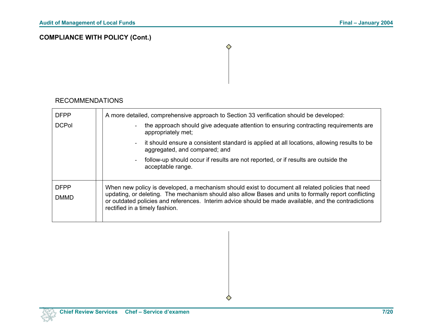# **COMPLIANCE WITH POLICY (Cont.)**

#### RECOMMENDATIONS

| <b>DFPP</b>                | A more detailed, comprehensive approach to Section 33 verification should be developed:                                                                                                                                                                                                                                                              |
|----------------------------|------------------------------------------------------------------------------------------------------------------------------------------------------------------------------------------------------------------------------------------------------------------------------------------------------------------------------------------------------|
| <b>DCPol</b>               | the approach should give adequate attention to ensuring contracting requirements are<br>appropriately met;                                                                                                                                                                                                                                           |
|                            | it should ensure a consistent standard is applied at all locations, allowing results to be<br>$\sim$<br>aggregated, and compared; and                                                                                                                                                                                                                |
|                            | follow-up should occur if results are not reported, or if results are outside the<br>acceptable range.                                                                                                                                                                                                                                               |
| <b>DFPP</b><br><b>DMMD</b> | When new policy is developed, a mechanism should exist to document all related policies that need<br>updating, or deleting. The mechanism should also allow Bases and units to formally report conflicting<br>or outdated policies and references. Interim advice should be made available, and the contradictions<br>rectified in a timely fashion. |

◇

♦

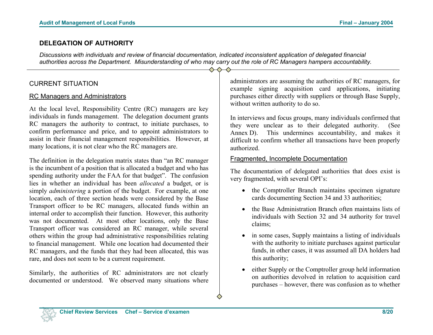#### **DELEGATION OF AUTHORITY**

*Discussions with individuals and review of financial documentation, indicated inconsistent application of delegated financial authorities across the Department. Misunderstanding of who may carry out the role of RC Managers hampers accountability.* 

 $\triangle$   $\triangle$   $\triangle$ 

#### CURRENT SITUATION

#### RC Managers and Administrators

At the local level, Responsibility Centre (RC) managers are key individuals in funds management. The delegation document grants RC managers the authority to contract, to initiate purchases, to confirm performance and price, and to appoint administrators to assist in their financial management responsibilities. However, at many locations, it is not clear who the RC managers are.

The definition in the delegation matrix states than "an RC manager is the incumbent of a position that is allocated a budget and who has spending authority under the FAA for that budget". The confusion lies in whether an individual has been *allocated* a budget, or is simply *administering* a portion of the budget. For example, at one location, each of three section heads were considered by the Base Transport officer to be RC managers, allocated funds within an internal order to accomplish their function. However, this authority was not documented. At most other locations, only the Base Transport officer was considered an RC manager, while several others within the group had administrative responsibilities relating to financial management. While one location had documented their RC managers, and the funds that they had been allocated, this was rare, and does not seem to be a current requirement.

Similarly, the authorities of RC administrators are not clearly documented or understood. We observed many situations where

administrators are assuming the authorities of RC managers, for example signing acquisition card applications, initiating purchases either directly with suppliers or through Base Supply, without written authority to do so.

In interviews and focus groups, many individuals confirmed that they were unclear as to their delegated authority. (See Annex D). This undermines accountability, and makes it difficult to confirm whether all transactions have been properly authorized.

#### Fragmented, Incomplete Documentation

The documentation of delegated authorities that does exist is very fragmented, with several OPI's:

- the Comptroller Branch maintains specimen signature cards documenting Section 34 and 33 authorities;
- the Base Administration Branch often maintains lists of individuals with Section 32 and 34 authority for travel claims;
- in some cases, Supply maintains a listing of individuals with the authority to initiate purchases against particular funds, in other cases, it was assumed all DA holders had this authority;
- either Supply or the Comptroller group held information on authorities devolved in relation to acquisition card purchases – however, there was confusion as to whether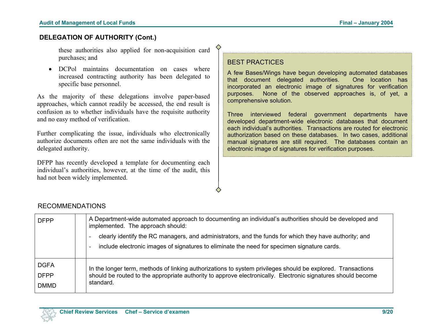#### **DELEGATION OF AUTHORITY (Cont.)**

these authorities also applied for non-acquisition card purchases; and

• DCPol maintains documentation on cases whereincreased contracting authority has been delegated to specific base personnel.

As the majority of these delegations involve paper-based approaches, which cannot readily be accessed, the end result is confusion as to whether individuals have the requisite authority and no easy method of verification.

Further complicating the issue, individuals who electronically authorize documents often are not the same individuals with thedelegated authority.

DFPP has recently developed a template for documenting each individual's authorities, however, at the time of the audit, this had not been widely implemented.

#### BEST PRACTICES

A few Bases/Wings have begun developing automated databases that document delegated authorities. One location has incorporated an electronic image of signatures for verification purposes. None of the observed approaches is, of yet, a comprehensive solution.

Three interviewed federal government departments have developed department-wide electronic databases that document each individual's authorities. Transactions are routed for electronicauthorization based on these databases. In two cases, additional manual signatures are still required. The databases contain an electronic image of signatures for verification purposes.

#### RECOMMENDATIONS

| <b>DFPP</b>                | A Department-wide automated approach to documenting an individual's authorities should be developed and<br>implemented. The approach should:<br>clearly identify the RC managers, and administrators, and the funds for which they have authority; and<br>include electronic images of signatures to eliminate the need for specimen signature cards. |
|----------------------------|-------------------------------------------------------------------------------------------------------------------------------------------------------------------------------------------------------------------------------------------------------------------------------------------------------------------------------------------------------|
| <b>DGFA</b><br><b>DFPP</b> | In the longer term, methods of linking authorizations to system privileges should be explored. Transactions<br>should be routed to the appropriate authority to approve electronically. Electronic signatures should become                                                                                                                           |
| <b>DMMD</b>                | standard.                                                                                                                                                                                                                                                                                                                                             |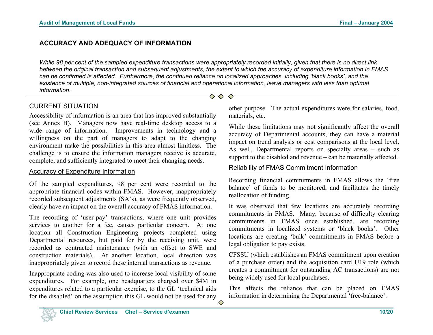#### **ACCURACY AND ADEQUACY OF INFORMATION**

*While 98 per cent of the sampled expenditure transactions were appropriately recorded initially, given that there is no direct link between the original transaction and subsequent adjustments, the extent to which the accuracy of expenditure information in FMAS can be confirmed is affected. Furthermore, the continued reliance on localized approaches, including 'black books', and the existence of multiple, non-integrated sources of financial and operational information, leave managers with less than optimal information.* 

◇

### CURRENT SITUATION

Accessibility of information is an area that has improved substantially (see Annex B). Managers now have real-time desktop access to a wide range of information. Improvements in technology and a willingness on the part of managers to adapt to the changing environment make the possibilities in this area almost limitless. The challenge is to ensure the information managers receive is accurate, complete, and sufficiently integrated to meet their changing needs.

#### Accuracy of Expenditure Information

Of the sampled expenditures, 98 per cent were recorded to the appropriate financial codes within FMAS. However, inappropriately recorded subsequent adjustments (SA's), as were frequently observed, clearly have an impact on the overall accuracy of FMAS information.

The recording of 'user-pay' transactions, where one unit provides services to another for a fee, causes particular concern. At one location all Construction Engineering projects completed using Departmental resources, but paid for by the receiving unit, were recorded as contracted maintenance (with an offset to SWE and construction materials). At another location, local direction was inappropriately given to record these internal transactions as revenue.

Inappropriate coding was also used to increase local visibility of some expenditures. For example, one headquarters charged over \$4M in expenditures related to a particular exercise, to the GL 'technical aids for the disabled' on the assumption this GL would not be used for any other purpose. The actual expenditures were for salaries, food, materials, etc.

While these limitations may not significantly affect the overall accuracy of Departmental accounts, they can have a material impact on trend analysis or cost comparisons at the local level. As well, Departmental reports on specialty areas – such as support to the disabled and revenue – can be materially affected.

#### Reliability of FMAS Commitment Information

Recording financial commitments in FMAS allows the 'free balance' of funds to be monitored, and facilitates the timely reallocation of funding.

It was observed that few locations are accurately recording commitments in FMAS. Many, because of difficulty clearing commitments in FMAS once established, are recording commitments in localized systems or 'black books'. Other locations are creating 'bulk' commitments in FMAS before a legal obligation to pay exists.

CFSSU (which establishes an FMAS commitment upon creation of a purchase order) and the acquisition card U19 role (which creates a commitment for outstanding AC transactions) are not being widely used for local purchases.

This affects the reliance that can be placed on FMAS information in determining the Departmental 'free-balance'.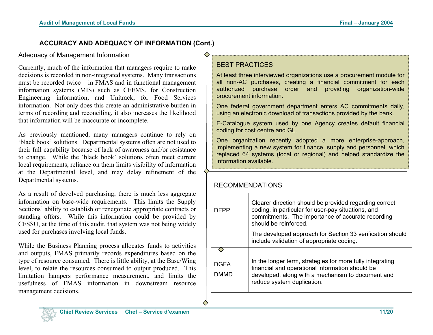#### **ACCURACY AND ADEQUACY OF INFORMATION (Cont.)**

#### Adequacy of Management Information

Currently, much of the information that managers require to make decisions is recorded in non-integrated systems. Many transactions must be recorded twice – in FMAS and in functional management information systems (MIS) such as CFEMS, for Construction Engineering information, and Unitrack, for Food Services information. Not only does this create an administrative burden in terms of recording and reconciling, it also increases the likelihood that information will be inaccurate or incomplete.

As previously mentioned, many managers continue to rely on 'black book' solutions. Departmental systems often are not used to their full capability because of lack of awareness and/or resistance to change. While the 'black book' solutions often meet current local requirements, reliance on them limits visibility of information at the Departmental level, and may delay refinement of the Departmental systems.

As a result of devolved purchasing, there is much less aggregate information on base-wide requirements. This limits the Supply Sections' ability to establish or renegotiate appropriate contracts or standing offers. While this information could be provided by CFSSU, at the time of this audit, that system was not being widely used for purchases involving local funds.

While the Business Planning process allocates funds to activities and outputs, FMAS primarily records expenditures based on the type of resource consumed. There is little ability, at the Base/Wing level, to relate the resources consumed to output produced. This limitation hampers performance measurement, and limits the usefulness of FMAS information in downstream resourcemanagement decisions.

# BEST PRACTICES

At least three interviewed organizations use a procurement module for all non-AC purchases, creating a financial commitment for each authorized purchase order and providing organization-wide procurement information.

One federal government department enters AC commitments daily, using an electronic download of transactions provided by the bank.

E-Catalogue system used by one Agency creates default financial coding for cost centre and GL.

One organization recently adopted a more enterprise-approach, implementing a new system for finance, supply and personnel, which replaced 64 systems (local or regional) and helped standardize the information available.

#### RECOMMENDATIONS

◇

| DFPP                | Clearer direction should be provided regarding correct<br>coding, in particular for user-pay situations, and<br>commitments. The importance of accurate recording<br>should be reinforced.      |
|---------------------|-------------------------------------------------------------------------------------------------------------------------------------------------------------------------------------------------|
|                     | The developed approach for Section 33 verification should<br>include validation of appropriate coding.                                                                                          |
| <b>DGFA</b><br>DMMD | In the longer term, strategies for more fully integrating<br>financial and operational information should be<br>developed, along with a mechanism to document and<br>reduce system duplication. |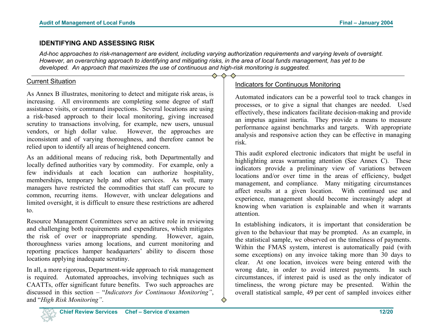#### **IDENTIFYING AND ASSESSING RISK**

*Ad-hoc approaches to risk-management are evident, including varying authorization requirements and varying levels of oversight. However, an overarching approach to identifying and mitigating risks, in the area of local funds management, has yet to be developed. An approach that maximizes the use of continuous and high-risk monitoring is suggested.* 

#### Current Situation

As Annex B illustrates, monitoring to detect and mitigate risk areas, is increasing. All environments are completing some degree of staff assistance visits, or command inspections. Several locations are using a risk-based approach to their local monitoring, giving increase d scrutiny to transactions involving, for example, new users, unusual vendors, or high dollar value. However, the approaches are inconsistent and of varying thoroughness, and therefore cannot be relied upon to identify all areas of heightened concern.

As an additional means of reducing risk, both Departmentally an d locally defined authorities vary by commodity. For example, only a few individuals at each location can authorize hospitality, memberships, temporary help and other services. As well, many managers have restricted the commodities that staff can procure to common, recurring items. However, with unclear delegations an d limited oversight, it is difficult to ensure these restrictions are adhere d to.

Resource Management Committees serve an active role in reviewing and challenging both requirements and expenditures, which mitigates the risk of over or inappropriate spending. However, again, thoroughness varies among locations, and current monitoring an d reporting practices hamper headquarters' ability to discern those locations applying inadequate scrutiny.

In all, a more rigorous, Department-wide approach to risk management is required. Automated approaches, involving techniques such as CAATTs, offer significant future benefits. Two such approaches are discussed in this section – "*Indicators for Continuous Monitoring"*, and "*High Risk Monitoring"*.

# Indicators for Continuous Monitoring

Automated indicators can be a powerful tool to track changes in processes, or to give a signal that changes are needed. Used effectively, these indicators facilitate decision-making and provide an impetus against inertia. They provide a means to measure performance against benchmarks and targets. With appropriate analysis and responsive action they can be effective in managing risk.

This audit explored electronic indicators that might be useful in highlighting areas warranting attention (See Annex C). These indicators provide a preliminary view of variations between locations and/or over time in the areas of efficiency, budget management, and compliance. Many mitigating circumstances affect results at a given location. With continued use an d experience, management should become increasingly adept at knowing when variation is explainable and when it warrants attention.

In establishing indicators, it is important that consideration be given to the behaviour that may be prompted. As an example, i n the statistical sample, we observed on the timeliness of payments. Within the FMAS system, interest is automatically paid (with some exceptions) on any invoice taking more than 30 days to clear. At one location, invoices were being entered with the wrong date, in order to avoid interest payments. In such circumstances, if interest paid is used as the only indicator o f timeliness, the wrong picture may be presented. Within the overall statistical sample, 49 per cent of sampled invoices either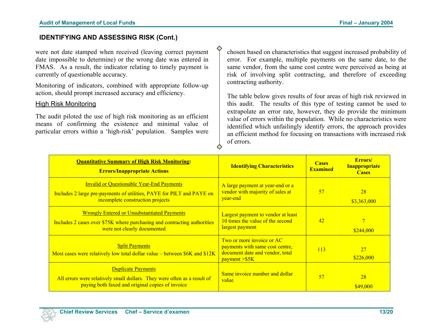#### **IDENTIFYING AND ASSESSING RISK (Cont.)**

were not date stamped when received (leaving correct payment date impossible to determine) or the wrong date was entered in FMAS. As a result, the indicator relating to timely payment is currently of questionable accuracy.

Monitoring of indicators, combined with appropriate follow-up action, should prompt increased accuracy and efficiency.

#### High Risk Monitoring

The audit piloted the use of high risk monitoring as an efficient means of confirming the existence and minimal value of particular errors within a 'high-risk' population. Samples were

chosen based on characteristics that suggest increased probability of error. For example, multiple payments on the same date, to the same vendor, from the same cost centre were perceived as being at risk of involving split contracting, and therefore of exceeding contracting authority.

The table below gives results of four areas of high risk reviewed in this audit. The results of this type of testing cannot be used to extrapolate an error rate, however, they do provide the minimum value of errors within the population. While no characteristics were identified which unfailingly identify errors, the approach provides an efficient method for focusing on transactions with increased risk of errors.

| <b>Quantitative Summary of High Risk Monitoring:</b><br><b>Errors/Inappropriate Actions</b>                                                                   | <b>Identifying Characteristics</b>                                                                                | <b>Cases</b><br><b>Examined</b> | Errors/<br><b>Inappropriate</b><br><b>Cases</b> |
|---------------------------------------------------------------------------------------------------------------------------------------------------------------|-------------------------------------------------------------------------------------------------------------------|---------------------------------|-------------------------------------------------|
| <b>Invalid or Ouestionable Year-End Payments</b><br>Includes 2 large pre-payments of utilities, PAYE for PILT and PAYE on<br>incomplete construction projects | A large payment at year-end or a<br>vendor with majority of sales at<br>year-end                                  | 57                              | 28<br>\$3,363,000                               |
| <b>Wrongly Entered or Unsubstantiated Payments</b><br>Includes 2 cases over \$75K where purchasing and contracting authorities<br>were not clearly documented | Largest payment to vendor at least<br>10 times the value of the second<br>largest payment                         | 42                              | \$244,000                                       |
| <b>Split Payments</b><br>Most cases were relatively low total dollar value – between \$6K and \$12K                                                           | Two or more invoice or AC<br>payments with same cost centre,<br>document date and vendor, total<br>payment > \$5K | 113                             | 27<br>\$226,000                                 |
| <b>Duplicate Payments</b><br>All errors were relatively small dollars. They were often as a result of<br>paying both faxed and original copies of invoice     | Same invoice number and dollar<br>value                                                                           | 57                              | 28<br>\$49,000                                  |

♦

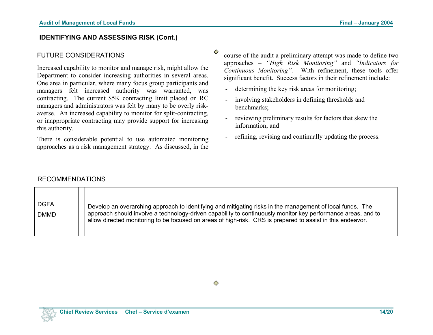#### **IDENTIFYING AND ASSESSING RISK (Cont.)**

#### FUTURE CONSIDERATIONS

Increased capability to monitor and manage risk, might allow the Department to consider increasing authorities in several areas. One area in particular, where many focus group participants and managers felt increased authority was warranted, was contracting. The current \$5K contracting limit placed on RC managers and administrators was felt by many to be overly riskaverse. An increased capability to monitor for split-contracting, or inappropriate contracting may provide support for increasing this authority.

There is considerable potential to use automated monitoring approaches as a risk management strategy. As discussed, in the course of the audit a preliminary attempt was made to define two approaches – *"High Risk Monitoring"* and *"Indicators for Continuous Monitoring".* With refinement, these tools offer significant benefit. Success factors in their refinement include:

- determining the key risk areas for monitoring;
- involving stakeholders in defining thresholds and benchmarks;
- reviewing preliminary results for factors that skew the information; and
- refining, revising and continually updating the process.

#### RECOMMENDATIONS

| <b>DGFA</b> | Develop an overarching approach to identifying and mitigating risks in the management of local funds. The    |
|-------------|--------------------------------------------------------------------------------------------------------------|
| <b>DMMD</b> | approach should involve a technology-driven capability to continuously monitor key performance areas, and to |
|             | allow directed monitoring to be focused on areas of high-risk. CRS is prepared to assist in this endeavor.   |
|             |                                                                                                              |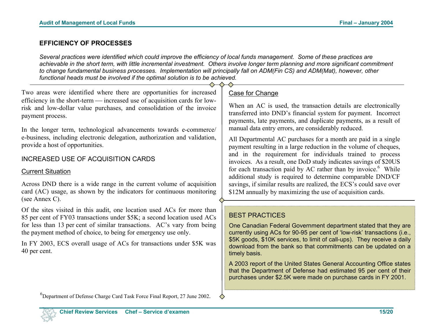#### **EFFICIENCY OF PROCESSES**

*Several practices were identified which could improve the efficiency of local funds management. Some of these practices are achievable in the short term, with little incremental investment. Others involve longer term planning and more significant commitment to change fundamental business processes. Implementation will principally fall on ADM(Fin CS) and ADM(Mat), however, other functional heads must be involved if the optimal solution is to be achieved.* 

Two areas were identified where there are opportunities for increased efficiency in the short-term — increased use of acquisition cards for lowrisk and low-dollar value purchases, and consolidation of the invoice payment process.

In the longer term, technological advancements towards e-commerce/ e-business, including electronic delegation, authorization and validation, provide a host of opportunities.

#### INCREASED USE OF ACQUISITION CARDS

#### Current Situation

Across DND there is a wide range in the current volume of acquisition card (AC) usage, as shown by the indicators for continuous monitoring (see Annex C).

Of the sites visited in this audit, one location used ACs for more than 85 per cent of FY03 transactions under \$5K; a second location used ACs for less than 13 per cent of similar transactions. AC's vary from being the payment method of choice, to being for emergency use only.

 $40$  per cent. In FY 2003, ECS overall usage of ACs for transactions under \$5K was

#### Case for Change

When an AC is used, the transaction details are electronically transferred into DND's financial system for payment. Incorrect payments, late payments, and duplicate payments, as a result of manual data entry errors, are considerably reduced.

All Departmental AC purchases for a month are paid in a single payment resulting in a large reduction in the volume of cheques, and in the requirement for individuals trained to process invoices. As a result, one DoD study indicates savings of \$20US for each transaction paid by AC rather than by invoice.<sup>6</sup> While additional study is required to determine comparable DND/CF savings, if similar results are realized, the ECS's could save over \$12M annually by maximizing the use of acquisition cards.

#### BEST PRACTICES

One Canadian Federal Government department stated that they are currently using ACs for 90-95 per cent of 'low-risk' transactions (i.e., \$5K goods, \$10K services, to limit of call-ups). They receive a daily download from the bank so that commitments can be updated on a timely basis.

A 2003 report of the United States General Accounting Office states that the Department of Defense had estimated 95 per cent of their purchases under \$2.5K were made on purchase cards in FY 2001.

 ${}^{6}$ Department of Defense Charge Card Task Force Final Report, 27 June 2002.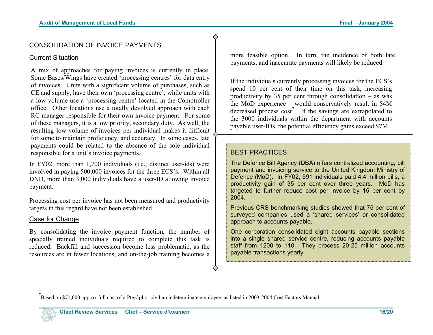#### CONSOLIDATION OF INVOICE PAYMENTS

#### Current Situation

A mix of approaches for paying invoices is currently in place. Some Bases/Wings have created 'processing centres' for data entry of invoices. Units with a significant volume of purchases, such as CE and supply, have their own 'processing centre', while units with a low volume use a 'processing centre' located in the Comptroller office. Other locations use a totally devolved approach with each RC manager responsible for their own invoice payment. For some of these managers, it is a low priority, secondary duty. As well, the resulting low volume of invoices per individual makes it difficult for some to maintain proficiency, and accuracy. In some cases, late payments could be related to the absence of the sole individual responsible for a unit's invoice payments.

In FY02, more than 1,700 individuals (i.e., distinct user-ids) were involved in paying 500,000 invoices for the three ECS's. Within all DND, more than 3,000 individuals have a user-ID allowing invoice payment.

Processing cost per invoice has not been measured and productivity targets in this regard have not been established.

#### Case for Change

By consolidating the invoice payment function, the number of specially trained individuals required to complete this task is reduced. Backfill and succession become less problematic, as the resources are in fewer locations, and on-the-job training becomes a

more feasible option. In turn, the incidence of both late payments, and inaccurate payments will likely be reduced.

If the individuals currently processing invoices for the ECS's spend 10 per cent of their time on this task, increasing productivity by 35 per cent through consolidation – as was the MoD experience – would conservatively result in \$4M decreased process  $cost^7$ . If the savings are extrapolated to the 3000 individuals within the department with accounts payable user-IDs, the potential efficiency gains exceed \$7M.

#### BEST PRACTICES

◇

The Defence Bill Agency (DBA) offers centralized accounting, bill payment and invoicing service to the United Kingdom Ministry of Defence (MoD). In FY02, 591 individuals paid 4.4 million bills, a productivity gain of 35 per cent over three years. MoD has targeted to further reduce cost per invoice by 15 per cent by 2004.

Previous CRS benchmarking studies showed that 75 per cent of surveyed companies used a 'shared services' or consolidated approach to accounts payable.

One corporation consolidated eight accounts payable sections into a single shared service centre, reducing accounts payable staff from 1200 to 110. They process 20-25 million accounts payable transactions yearly.

Based on \$71,000 approx full cost of a Pte/Cpl or civilian indeterminate employee, as listed in 2003-2004 Cost Factors Manual.

◇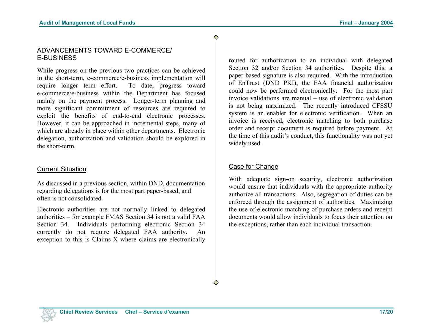### ADVANCEMENTS TOWARD E-COMMERCE/ E-BUSINESS

While progress on the previous two practices can be achieved in the short-term, e-commerce/e-business implementation will require longer term effort. To date, progress toward e-commerce/e-business within the Department has focused mainly on the payment process. Longer-term planning and more significant commitment of resources are required to exploit the benefits of end-to-end electronic processes. However, it can be approached in incremental steps, many of which are already in place within other departments. Electronic delegation, authorization and validation should be explored in the short-term.

### Current Situation

As discussed in a previous section, within DND, documentation regarding delegations is for the most part paper-based, and often is not consolidated.

Electronic authorities are not normally linked to delegated authorities – for example FMAS Section 34 is not a valid FAA Section 34. Individuals performing electronic Section 34 currently do not require delegated FAA authority. An exception to this is Claims-X where claims are electronically routed for authorization to an individual with delegated Section 32 and/or Section 34 authorities. Despite this, a paper-based signature is also required. With the introduction of EnTrust (DND PKI), the FAA financial authorization could now be performed electronically. For the most part invoice validations are manual – use of electronic validationis not being maximized. The recently introduced CFSSU system is an enabler for electronic verification. When an invoice is received, electronic matching to both purchase order and receipt document is required before payment. At the time of this audit's conduct, this functionality was not yet widely used.

### Case for Change

With adequate sign-on security, electronic authorization would ensure that individuals with the appropriate authority authorize all transactions. Also, segregation of duties can be enforced through the assignment of authorities. Maximizing the use of electronic matching of purchase orders and receipt documents would allow individuals to focus their attention onthe exceptions, rather than each individual transaction.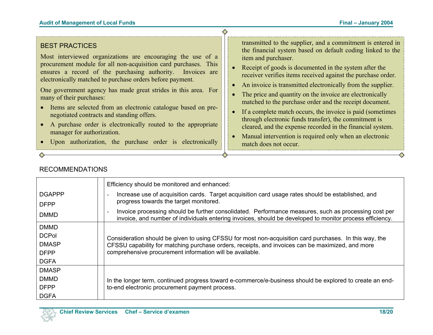#### BEST PRACTICES

Most interviewed organizations are encouraging the use of a procurement module for all non-acquisition card purchases. This ensures a record of the purchasing authority. Invoices are electronically matched to purchase orders before payment.

One government agency has made great strides in this area. For many of their purchases:

- Items are selected from an electronic catalogue based on prenegotiated contracts and standing offers.
- A purchase order is electronically routed to the appropriate manager for authorization.

• Upon authorization, the purchase order is electronically

transmitted to the supplier, and a commitment is entered in the financial system based on default coding linked to the item and purchaser.

- Receipt of goods is documented in the system after the receiver verifies items received against the purchase order.
- An invoice is transmitted electronically from the supplier.
- The price and quantity on the invoice are electronically matched to the purchase order and the receipt document.
- If a complete match occurs, the invoice is paid (sometimes) through electronic funds transfer), the commitment is cleared, and the expense recorded in the financial system.
- Manual intervention is required only when an electronic match does not occur.

DGAPPP DFPP DMMD Efficiency should be monitored and enhanced: - Increase use of acquisition cards. Target acquisition card usage rates should be established, and progress towards the target monitored. - Invoice processing should be further consolidated. Performance measures, such as processing cost per invoice, and number of individuals entering invoices, should be developed to monitor process efficiency. DMMD **DCPol** DMASP DFPP DGFA Consideration should be given to using CFSSU for most non-acquisition card purchases. In this way, the CFSSU capability for matching purchase orders, receipts, and invoices can be maximized, and more comprehensive procurement information will be available. DMASP DMMD DFPP DGFA In the longer term, continued progress toward e-commerce/e-business should be explored to create an endto-end electronic procurement payment process.

#### RECOMMENDATIONS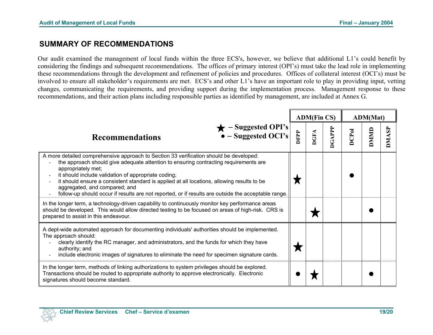# **SUMMARY OF RECOMMENDATIONS**

Our audit examined the management of local funds within the three ECS's, however, we believe that additional L1's could benefit by considering the findings and subsequent recommendations. The offices of primary interest (OPI's) must take the lead role in implementing these recommendations through the development and refinement of policies and procedures. Offices of collateral interest (OCI's) must be involved to ensure all stakeholder's requirements are met. ECS's and other L1's have an important role to play in providing input, vetting changes, communicating the requirements, and providing support during the implementation process. Management response to these recommendations, and their action plans including responsible parties as identified by management, are included at Annex G.

|                                                                                                                                                                                                                                                                                                                                                                                                                                                                                                   |             | <b>ADM(Fin CS)</b> |             |              | <b>ADM(Mat)</b> |             |
|---------------------------------------------------------------------------------------------------------------------------------------------------------------------------------------------------------------------------------------------------------------------------------------------------------------------------------------------------------------------------------------------------------------------------------------------------------------------------------------------------|-------------|--------------------|-------------|--------------|-----------------|-------------|
| - Suggested OPI's<br>$\bullet$ – Suggested OCI's<br><b>Recommendations</b>                                                                                                                                                                                                                                                                                                                                                                                                                        | <b>DFPP</b> | <b>DGFA</b>        | <b>GAPP</b> | <b>DCPol</b> | DMMID           | <b>DMAS</b> |
| A more detailed comprehensive approach to Section 33 verification should be developed:<br>the approach should give adequate attention to ensuring contracting requirements are<br>appropriately met;<br>it should include validation of appropriate coding;<br>it should ensure a consistent standard is applied at all locations, allowing results to be<br>aggregated, and compared; and<br>follow-up should occur if results are not reported, or if results are outside the acceptable range. |             |                    |             |              |                 |             |
| In the longer term, a technology-driven capability to continuously monitor key performance areas<br>should be developed. This would allow directed testing to be focused on areas of high-risk. CRS is<br>prepared to assist in this endeavour.                                                                                                                                                                                                                                                   |             |                    |             |              |                 |             |
| A dept-wide automated approach for documenting individuals' authorities should be implemented.<br>The approach should:<br>clearly identify the RC manager, and administrators, and the funds for which they have<br>authority; and<br>include electronic images of signatures to eliminate the need for specimen signature cards.                                                                                                                                                                 |             |                    |             |              |                 |             |
| In the longer term, methods of linking authorizations to system privileges should be explored.<br>Transactions should be routed to appropriate authority to approve electronically. Electronic<br>signatures should become standard.                                                                                                                                                                                                                                                              |             |                    |             |              |                 |             |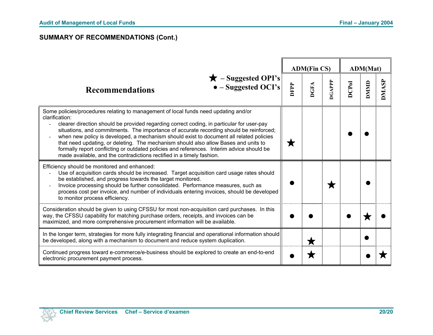# **SUMMARY OF RECOMMENDATIONS (Cont.)**

|                                                                                                                                                                                                                                                                                                                                                                                                                                                                                                                                                                                                                                                       |             | <b>ADM(Fin CS)</b> |        |              | ADM(Mat)     |              |
|-------------------------------------------------------------------------------------------------------------------------------------------------------------------------------------------------------------------------------------------------------------------------------------------------------------------------------------------------------------------------------------------------------------------------------------------------------------------------------------------------------------------------------------------------------------------------------------------------------------------------------------------------------|-------------|--------------------|--------|--------------|--------------|--------------|
| - Suggested OPI's<br>- Suggested OCI's<br><b>Recommendations</b>                                                                                                                                                                                                                                                                                                                                                                                                                                                                                                                                                                                      | <b>DFPP</b> | <b>DGFA</b>        | DGAPPP | <b>DCPol</b> | <b>ONIND</b> | <b>DMASP</b> |
| Some policies/procedures relating to management of local funds need updating and/or<br>clarification:<br>clearer direction should be provided regarding correct coding, in particular for user-pay<br>situations, and commitments. The importance of accurate recording should be reinforced;<br>when new policy is developed, a mechanism should exist to document all related policies<br>that need updating, or deleting. The mechanism should also allow Bases and units to<br>formally report conflicting or outdated policies and references. Interim advice should be<br>made available, and the contradictions rectified in a timely fashion. |             |                    |        |              |              |              |
| Efficiency should be monitored and enhanced:<br>Use of acquisition cards should be increased. Target acquisition card usage rates should<br>be established, and progress towards the target monitored.<br>Invoice processing should be further consolidated. Performance measures, such as<br>process cost per invoice, and number of individuals entering invoices, should be developed<br>to monitor process efficiency.                                                                                                                                                                                                                            |             |                    | Х      |              |              |              |
| Consideration should be given to using CFSSU for most non-acquisition card purchases. In this<br>way, the CFSSU capability for matching purchase orders, receipts, and invoices can be<br>maximized, and more comprehensive procurement information will be available.                                                                                                                                                                                                                                                                                                                                                                                |             |                    |        |              |              |              |
| In the longer term, strategies for more fully integrating financial and operational information should<br>be developed, along with a mechanism to document and reduce system duplication.                                                                                                                                                                                                                                                                                                                                                                                                                                                             |             | ★                  |        |              |              |              |
| Continued progress toward e-commerce/e-business should be explored to create an end-to-end<br>electronic procurement payment process.                                                                                                                                                                                                                                                                                                                                                                                                                                                                                                                 |             |                    |        |              |              |              |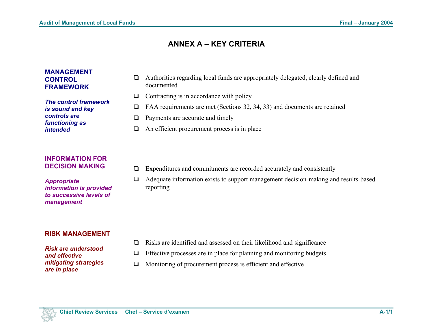# **ANNEX A – KEY CRITERIA**

#### **MANAGEMENT CONTROL FRAMEWORK**

*The control framework is sound and key controls are functioning as intended* 

#### **INFORMATION FOR DECISION MAKING**

*Appropriate information is provided to successive levels of management* 

#### **RISK MANAGEMENT**

*Risk are understood and effective mitigating strategies are in place* 

- Authorities regarding local funds are appropriately delegated, clearly defined and documented
- $\Box$  Contracting is in accordance with policy
- FAA requirements are met (Sections 32, 34, 33) and documents are retained
- $\Box$  Payments are accurate and timely
- $\Box$  An efficient procurement process is in place
- $\Box$  Expenditures and commitments are recorded accurately and consistently
- Adequate information exists to support management decision-making and results-based reporting

- $\Box$  Risks are identified and assessed on their likelihood and significance
- $\Box$  Effective processes are in place for planning and monitoring budgets
- $\Box$  Monitoring of procurement process is efficient and effective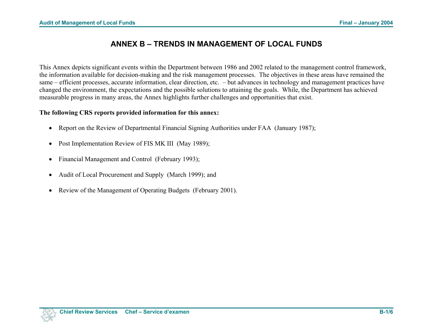# **ANNEX B – TRENDS IN MANAGEMENT OF LOCAL FUNDS**

This Annex depicts significant events within the Department between 1986 and 2002 related to the management control framework, the information available for decision-making and the risk management processes. The objectives in these areas have remained the same – efficient processes, accurate information, clear direction, etc. – but advances in technology and management practices have changed the environment, the expectations and the possible solutions to attaining the goals. While, the Department has achieved measurable progress in many areas, the Annex highlights further challenges and opportunities that exist.

#### **The following CRS reports provided information for this annex:**

- Report on the Review of Departmental Financial Signing Authorities under FAA (January 1987);
- Post Implementation Review of FIS MK III (May 1989);
- Financial Management and Control (February 1993);
- Audit of Local Procurement and Supply (March 1999); and
- Review of the Management of Operating Budgets (February 2001).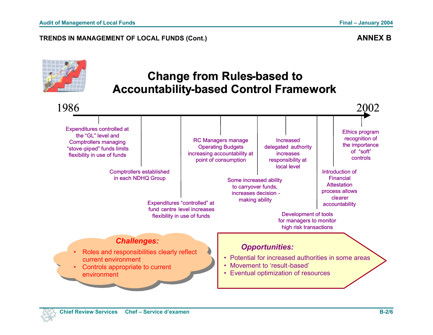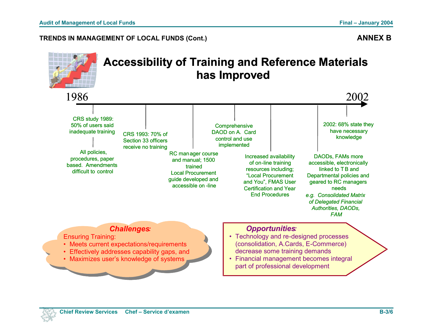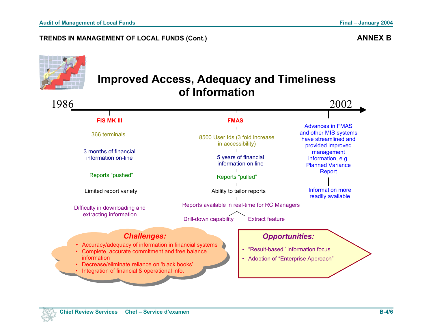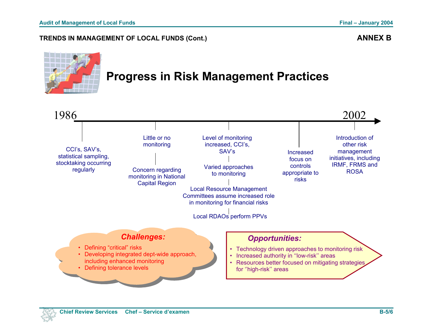

# **Progress in Risk Management Practices**

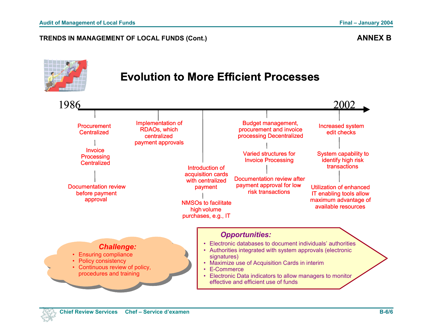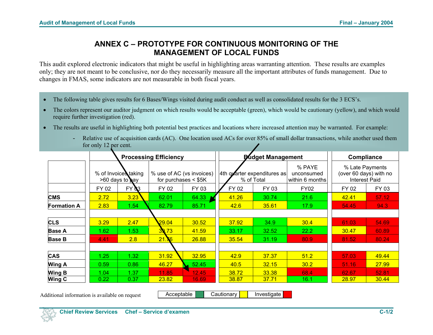# **ANNEX C – PROTOTYPE FOR CONTINUOUS MONITORING OF THE MANAGEMENT OF LOCAL FUNDS**

This audit explored electronic indicators that might be useful in highlighting areas warranting attention. These results are examples only; they are not meant to be conclusive, nor do they necessarily measure all the important attributes of funds management. Due to changes in FMAS, some indicators are not measurable in both fiscal years.

- The following table gives results for 6 Bases/Wings visited during audit conduct as well as consolidated results for the 3 ECS's.
- The colors represent our auditor judgment on which results would be acceptable (green), which would be cautionary (yellow), and which would require further investigation (red).
- The results are useful in highlighting both potential best practices and locations where increased attention may be warranted. For example:
	- Relative use of acquisition cards (AC). One location used ACs for over 85% of small dollar transactions, while another used them for only 12 per cent.

|                    | <b>Processing Efficiency</b> |                     |                  |                                              | <b>Pudget Management</b> | <b>Compliance</b>                                                      |             |                        |       |  |  |            |  |  |  |  |  |  |  |  |  |  |  |                                                                   |  |
|--------------------|------------------------------|---------------------|------------------|----------------------------------------------|--------------------------|------------------------------------------------------------------------|-------------|------------------------|-------|--|--|------------|--|--|--|--|--|--|--|--|--|--|--|-------------------------------------------------------------------|--|
|                    |                              | % of Invoice taking |                  | % use of AC (vs invoices)<br>>60 days to pay |                          | % PAYE<br>4th quarter expenditures as<br>unconsumed<br>within 6 months |             | for purchases $<$ \$5K |       |  |  | % of Total |  |  |  |  |  |  |  |  |  |  |  | % Late Payments<br>(over 60 days) with no<br><b>Interest Paid</b> |  |
|                    | FY 02                        | FY <b>N</b> 3       | FY 02            | FY 03                                        | FY 02                    | FY 03                                                                  | <b>FY02</b> | FY 02                  | FY 03 |  |  |            |  |  |  |  |  |  |  |  |  |  |  |                                                                   |  |
| <b>CMS</b>         | 2.72                         | 3.23                | 62.01            | 64.33                                        | 41.26                    | 30.74                                                                  | 21.6        | 42.41                  | 57.12 |  |  |            |  |  |  |  |  |  |  |  |  |  |  |                                                                   |  |
| <b>Formation A</b> | 2.83                         | 1.54                | 82.79            | 85.71                                        | 42.6                     | 35.61                                                                  | 17.9        | 54.45                  | 94.3  |  |  |            |  |  |  |  |  |  |  |  |  |  |  |                                                                   |  |
|                    |                              |                     |                  |                                              |                          |                                                                        |             |                        |       |  |  |            |  |  |  |  |  |  |  |  |  |  |  |                                                                   |  |
| <b>CLS</b>         | 3.29                         | 2.47                | 29.04            | 30.52                                        | 37.92                    | 34.9                                                                   | 30.4        | 61.03                  | 54.69 |  |  |            |  |  |  |  |  |  |  |  |  |  |  |                                                                   |  |
| <b>Base A</b>      | 1.62                         | 1.53                | 39.73            | 41.59                                        | 33.17                    | 32.52                                                                  | 22.2        | 30.47                  | 60.89 |  |  |            |  |  |  |  |  |  |  |  |  |  |  |                                                                   |  |
| <b>Base B</b>      | 4.41                         | 2.8                 | 21.<br><b>X6</b> | 26.88                                        | 35.54                    | 31.19                                                                  | 80.9        | 81.52                  | 80.24 |  |  |            |  |  |  |  |  |  |  |  |  |  |  |                                                                   |  |
|                    |                              |                     |                  |                                              |                          |                                                                        |             |                        |       |  |  |            |  |  |  |  |  |  |  |  |  |  |  |                                                                   |  |
| CAS                | 1.25                         | 1.32                | 31.92            | 32.95                                        | 42.9                     | 37.37                                                                  | 51.2        | 57.03                  | 49.44 |  |  |            |  |  |  |  |  |  |  |  |  |  |  |                                                                   |  |
| <b>Wing A</b>      | 0.59                         | 0.86                | 46.27            | 52.45                                        | 40.5                     | 32.15                                                                  | 30.2        | 51.16                  | 27.99 |  |  |            |  |  |  |  |  |  |  |  |  |  |  |                                                                   |  |
| <b>Wing B</b>      | 1.04                         | 1.37                | 11.85            | 12.45                                        | 38.72                    | 33.38                                                                  | 68.4        | 62.67                  | 52.81 |  |  |            |  |  |  |  |  |  |  |  |  |  |  |                                                                   |  |
| <b>Wing C</b>      | 0.22                         | 0.37                | 23.82            | 16.69                                        | 38.87                    | 37.71                                                                  | 16.1        | 28.97                  | 30.44 |  |  |            |  |  |  |  |  |  |  |  |  |  |  |                                                                   |  |

Additional information is available on request **Acceptable Cautionary | Cautionary** | Investigate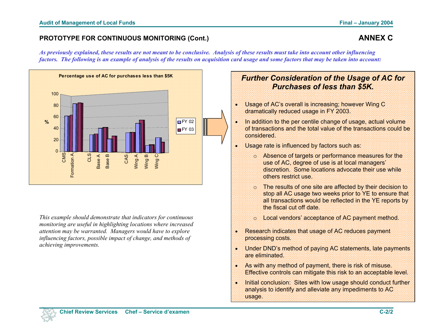#### **PROTOTYPE FOR CONTINUOUS MONITORING (Cont.) ANNEX C ANNEX C**

*As previously explained, these results are not meant to be conclusive. Analysis of these results must take into account other influencing factors. The following is an example of analysis of the results on acquisition card usage and some factors that may be taken into account:* 



*This example should demonstrate that indicators for continuous monitoring are useful in highlighting locations where increased attention may be warranted. Managers would have to explore influencing factors, possible impact of change, and methods of achieving improvements.* 

# *Further Consideration of the Usage of AC for Purchases of less than \$5K.*

- Usage of AC's overall is increasing; however Wing C dramatically reduced usage in FY 2003.
- In addition to the per centile change of usage, actual volume of transactions and the total value of the transactions could be considered.
- Usage rate is influenced by factors such as:
	- <sup>o</sup>Absence of targets or performance measures for the use of AC, degree of use is at local managers' discretion. Some locations advocate their use while others restrict use.
	- <sup>o</sup>The results of one site are affected by their decision to stop all AC usage two weeks prior to YE to ensure that all transactions would be reflected in the YE reports by the fiscal cut off date.
	- o Local vendors' acceptance of AC payment method.
- Research indicates that usage of AC reduces payment processing costs.
- Under DND's method of paying AC statements, late payments are eliminated.
- As with any method of payment, there is risk of misuse. Effective controls can mitigate this risk to an acceptable level.
- Initial conclusion: Sites with low usage should conduct further analysis to identify and alleviate any impediments to AC usage.

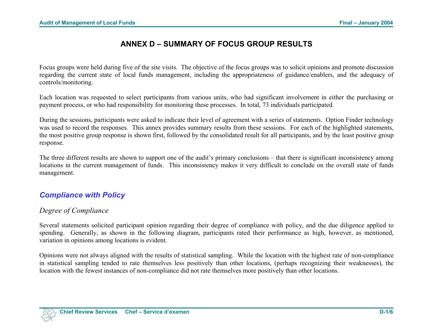# **ANNEX D – SUMMARY OF FOCUS GROUP RESULTS**

Focus groups were held during five of the site visits. The objective of the focus groups was to solicit opinions and promote discussion regarding the current state of local funds management, including the appropriateness of guidance/enablers, and the adequacy of controls/monitoring.

Each location was requested to select participants from various units, who had significant involvement in either the purchasing or payment process, or who had responsibility for monitoring these processes. In total, 73 individuals participated.

During the sessions, participants were asked to indicate their level of agreement with a series of statements. Option Finder technology was used to record the responses. This annex provides summary results from these sessions. For each of the highlighted statements, the most positive group response is shown first, followed by the consolidated result for all participants, and by the least positive group response.

The three different results are shown to support one of the audit's primary conclusions – that there is significant inconsistency among locations in the current management of funds. This inconsistency makes it very difficult to conclude on the overall state of funds management.

# *Compliance with Policy*

## *Degree of Compliance*

Several statements solicited participant opinion regarding their degree of compliance with policy, and the due diligence applied to spending. Generally, as shown in the following diagram, participants rated their performance as high, however, as mentioned, variation in opinions among locations is evident.

Opinions were not always aligned with the results of statistical sampling. While the location with the highest rate of non-compliance in statistical sampling tended to rate themselves less positively than other locations, (perhaps recognizing their weaknesses), the location with the fewest instances of non-compliance did not rate themselves more positively than other locations.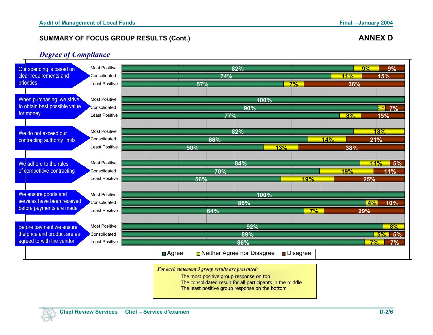#### *Degree of Compliance*



*For each statement 3 group results are presented:* 

The most positive group response on top

The consolidated result for all participants in the middle

The least positive group response on the bottom

**D-2/6**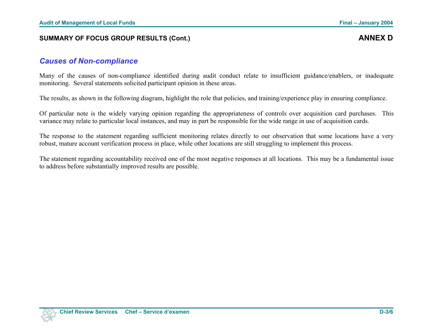# *Causes of Non-compliance*

Many of the causes of non-compliance identified during audit conduct relate to insufficient guidance/enablers, or inadequate monitoring. Several statements solicited participant opinion in these areas.

The results, as shown in the following diagram, highlight the role that policies, and training/experience play in ensuring compliance.

Of particular note is the widely varying opinion regarding the appropriateness of controls over acquisition card purchases. This variance may relate to particular local instances, and may in part be responsible for the wide range in use of acquisition cards.

The response to the statement regarding sufficient monitoring relates directly to our observation that some locations have a very robust, mature account verification process in place, while other locations are still struggling to implement this process.

The statement regarding accountability received one of the most negative responses at all locations*.* This may be a fundamental issue to address before substantially improved results are possible.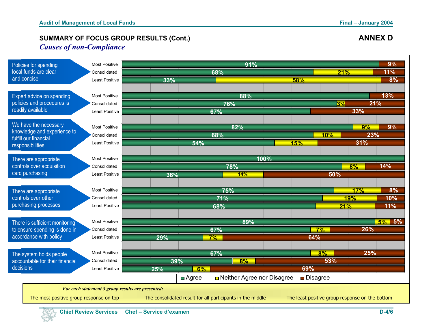### *Causes of non-Compliance*



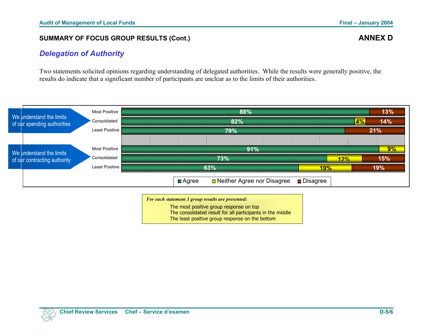### *Delegation of Authority*

Two statements solicited opinions regarding understanding of delegated authorities. While the results were generally positive, the results do indicate that a significant number of participants are unclear as to the limits of their authorities.



*For each statement 3 group results are presented:* 

The most positive group response on top The consolidated result for all participants in the middle The least positive group response on the bottom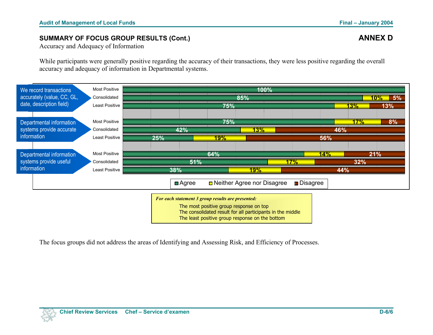Accuracy and Adequacy of Information

While participants were generally positive regarding the accuracy of their transactions, they were less positive regarding the overall accuracy and adequacy of information in Departmental systems.



The focus groups did not address the areas of Identifying and Assessing Risk, and Efficiency of Processes.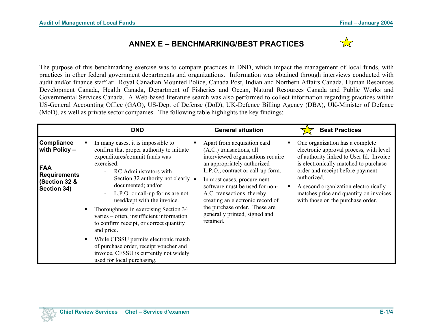# **ANNEX E – BENCHMARKING/BEST PRACTICES**



The purpose of this benchmarking exercise was to compare practices in DND, which impact the management of local funds, with practices in other federal government departments and organizations. Information was obtained through interviews conducted with audit and/or finance staff at: Royal Canadian Mounted Police, Canada Post, Indian and Northern Affairs Canada, Human Resources Development Canada, Health Canada, Department of Fisheries and Ocean, Natural Resources Canada and Public Works and Governmental Services Canada. A Web-based literature search was also performed to collect information regarding practices within US-General Accounting Office (GAO), US-Dept of Defense (DoD), UK-Defence Billing Agency (DBA), UK-Minister of Defence (MoD), as well as private sector companies. The following table highlights the key findings:

|                                                                                                         |        | <b>DND</b>                                                                                                                                                                                                                                                                                                                                                                                                                                                                                                                                                                                                                                            | <b>General situation</b>                                                                                                                                                                                                                                                                                                                                                          |         | <b>Best Practices</b>                                                                                                                                                                                                                                                                                                                    |
|---------------------------------------------------------------------------------------------------------|--------|-------------------------------------------------------------------------------------------------------------------------------------------------------------------------------------------------------------------------------------------------------------------------------------------------------------------------------------------------------------------------------------------------------------------------------------------------------------------------------------------------------------------------------------------------------------------------------------------------------------------------------------------------------|-----------------------------------------------------------------------------------------------------------------------------------------------------------------------------------------------------------------------------------------------------------------------------------------------------------------------------------------------------------------------------------|---------|------------------------------------------------------------------------------------------------------------------------------------------------------------------------------------------------------------------------------------------------------------------------------------------------------------------------------------------|
| <b>Compliance</b><br>with Policy -<br><b>FAA</b><br><b>Requirements</b><br>(Section 32 &<br>Section 34) | ٠<br>٠ | In many cases, it is impossible to<br>confirm that proper authority to initiate<br>expenditures/commit funds was<br>exercised:<br><b>RC</b> Administrators with<br>$\overline{\phantom{0}}$<br>Section 32 authority not clearly $\vert \bullet \vert$<br>documented; and/or<br>L.P.O. or call-up forms are not<br>used/kept with the invoice.<br>Thoroughness in exercising Section 34<br>varies - often, insufficient information<br>to confirm receipt, or correct quantity<br>and price.<br>While CFSSU permits electronic match<br>of purchase order, receipt voucher and<br>invoice, CFSSU is currently not widely<br>used for local purchasing. | Apart from acquisition card<br>(A.C.) transactions, all<br>interviewed organisations require<br>an appropriately authorized<br>L.P.O., contract or call-up form.<br>In most cases, procurement<br>software must be used for non-<br>A.C. transactions, thereby<br>creating an electronic record of<br>the purchase order. These are<br>generally printed, signed and<br>retained. | ٠<br>∣∎ | One organization has a complete<br>electronic approval process, with level<br>of authority linked to User Id. Invoice<br>is electronically matched to purchase<br>order and receipt before payment<br>authorized.<br>A second organization electronically<br>matches price and quantity on invoices<br>with those on the purchase order. |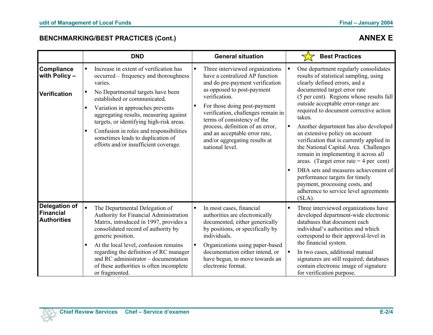# **BENCHMARKING/BEST PRACTICES (Cont.) ANNEX E**

|                                                                |                                                         | <b>DND</b>                                                                                                                                                                                                                                                                                                                                                                                                         |   | <b>General situation</b>                                                                                                                                                                                                                                                                                                                                                          | <b>Best Practices</b>                                                                                                                                                                                                                                                                                                                                                                                                                                                                                                                                                                                                                                                                                      |
|----------------------------------------------------------------|---------------------------------------------------------|--------------------------------------------------------------------------------------------------------------------------------------------------------------------------------------------------------------------------------------------------------------------------------------------------------------------------------------------------------------------------------------------------------------------|---|-----------------------------------------------------------------------------------------------------------------------------------------------------------------------------------------------------------------------------------------------------------------------------------------------------------------------------------------------------------------------------------|------------------------------------------------------------------------------------------------------------------------------------------------------------------------------------------------------------------------------------------------------------------------------------------------------------------------------------------------------------------------------------------------------------------------------------------------------------------------------------------------------------------------------------------------------------------------------------------------------------------------------------------------------------------------------------------------------------|
| Compliance<br>with Policy-<br><b>Verification</b>              | $\blacksquare$<br>٠<br>$\blacksquare$<br>$\blacksquare$ | Increase in extent of verification has<br>occurred – frequency and thoroughness<br>varies.<br>No Departmental targets have been<br>established or communicated.<br>Variation in approaches prevents<br>aggregating results, measuring against<br>targets, or identifying high-risk areas.<br>Confusion in roles and responsibilities<br>sometimes leads to duplication of<br>efforts and/or insufficient coverage. |   | Three interviewed organizations<br>have a centralized AP function<br>and do pre-payment verification<br>as opposed to post-payment<br>verification.<br>For those doing post-payment<br>verification, challenges remain in<br>terms of consistency of the<br>process, definition of an error,<br>and an acceptable error rate,<br>and/or aggregating results at<br>national level. | One department regularly consolidates<br>results of statistical sampling, using<br>clearly defined errors, and a<br>documented target error rate<br>(5 per cent). Regions whose results fall<br>outside acceptable error-range are<br>required to document corrective action<br>taken.<br>Another department has also developed<br>an extensive policy on account<br>verification that is currently applied in<br>the National Capital Area. Challenges<br>remain in implementing it across all<br>areas. (Target error rate $=$ 4 per cent)<br>DBA sets and measures achievement of<br>performance targets for timely<br>payment, processing costs, and<br>adherence to service level agreements<br>(SLA) |
| <b>Delegation of</b><br><b>Financial</b><br><b>Authorities</b> | $\blacksquare$<br>$\blacksquare$                        | The Departmental Delegation of<br>Authority for Financial Administration<br>Matrix, introduced in 1997, provides a<br>consolidated record of authority by<br>generic position.<br>At the local level, confusion remains<br>regarding the definition of RC manager<br>and RC administrator - documentation<br>of these authorities is often incomplete<br>or fragmented.                                            | ٠ | In most cases, financial<br>authorities are electronically<br>documented, either generically<br>by positions, or specifically by<br>individuals.<br>Organizations using paper-based<br>documentation either intend, or<br>have begun, to move towards an<br>electronic format.                                                                                                    | Three interviewed organizations have<br>developed department-wide electronic<br>databases that document each<br>individual's authorities and which<br>correspond to their approval-level in<br>the financial system.<br>In two cases, additional manual<br>signatures are still required; databases<br>contain electronic image of signature<br>for verification purpose.                                                                                                                                                                                                                                                                                                                                  |

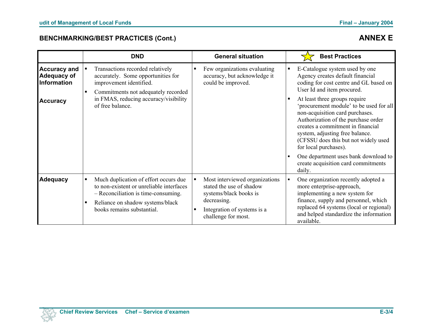# **BENCHMARKING/BEST PRACTICES (Cont.) ANNEX E**

|                                                          |                                  | <b>DND</b>                                                                                                                                                                                 | <b>General situation</b>                                                                                                                                  |   | <b>Best Practices</b>                                                                                                                                                                                                                                                                       |
|----------------------------------------------------------|----------------------------------|--------------------------------------------------------------------------------------------------------------------------------------------------------------------------------------------|-----------------------------------------------------------------------------------------------------------------------------------------------------------|---|---------------------------------------------------------------------------------------------------------------------------------------------------------------------------------------------------------------------------------------------------------------------------------------------|
| <b>Accuracy and</b><br>Adequacy of<br><b>Information</b> | $\blacksquare$<br>$\blacksquare$ | Transactions recorded relatively<br>accurately. Some opportunities for<br>improvement identified.<br>Commitments not adequately recorded                                                   | Few organizations evaluating<br>accuracy, but acknowledge it<br>could be improved.                                                                        | Е | E-Catalogue system used by one<br>Agency creates default financial<br>coding for cost centre and GL based on<br>User Id and item procured.                                                                                                                                                  |
| <b>Accuracy</b>                                          |                                  | in FMAS, reducing accuracy/visibility<br>of free balance.                                                                                                                                  |                                                                                                                                                           |   | At least three groups require<br>'procurement module' to be used for all<br>non-acquisition card purchases.<br>Authorization of the purchase order<br>creates a commitment in financial<br>system, adjusting free balance.<br>(CFSSU does this but not widely used<br>for local purchases). |
|                                                          |                                  |                                                                                                                                                                                            |                                                                                                                                                           | п | One department uses bank download to<br>create acquisition card commitments<br>daily.                                                                                                                                                                                                       |
| <b>Adequacy</b>                                          | ٠<br>٠                           | Much duplication of effort occurs due<br>to non-existent or unreliable interfaces<br>- Reconciliation is time-consuming.<br>Reliance on shadow systems/black<br>books remains substantial. | Most interviewed organizations<br>stated the use of shadow<br>systems/black books is<br>decreasing.<br>Integration of systems is a<br>challenge for most. |   | One organization recently adopted a<br>more enterprise-approach,<br>implementing a new system for<br>finance, supply and personnel, which<br>replaced 64 systems (local or regional)<br>and helped standardize the information<br>available.                                                |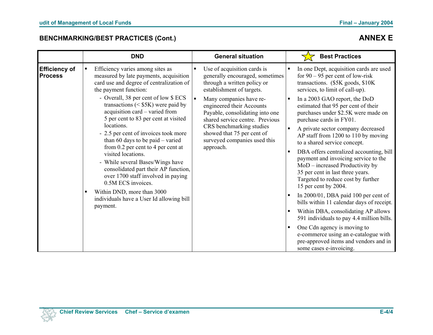# **BENCHMARKING/BEST PRACTICES (Cont.) ANNEX E**

|                                        | <b>DND</b>                                                                                                                                                                                                                                                                                                                                                                                                                                                                                                                                                                                                  | <b>General situation</b>                                                                                                                                                                                                                                                                                                                                                          | <b>Best Practices</b>                                                                                                                                                                                                                                                                                                                                                                                                                                                                                                                                                                                                    |
|----------------------------------------|-------------------------------------------------------------------------------------------------------------------------------------------------------------------------------------------------------------------------------------------------------------------------------------------------------------------------------------------------------------------------------------------------------------------------------------------------------------------------------------------------------------------------------------------------------------------------------------------------------------|-----------------------------------------------------------------------------------------------------------------------------------------------------------------------------------------------------------------------------------------------------------------------------------------------------------------------------------------------------------------------------------|--------------------------------------------------------------------------------------------------------------------------------------------------------------------------------------------------------------------------------------------------------------------------------------------------------------------------------------------------------------------------------------------------------------------------------------------------------------------------------------------------------------------------------------------------------------------------------------------------------------------------|
| <b>Efficiency of</b><br><b>Process</b> | Efficiency varies among sites as<br>measured by late payments, acquisition<br>card use and degree of centralization of<br>the payment function:<br>- Overall, 38 per cent of low \$ ECS<br>transactions $(<$ \$5K) were paid by<br>acquisition card – varied from<br>5 per cent to 83 per cent at visited<br>locations.<br>- 2.5 per cent of invoices took more<br>than 60 days to be paid $-$ varied<br>from $0.2$ per cent to 4 per cent at<br>visited locations.<br>- While several Bases/Wings have<br>consolidated part their AP function,<br>over 1700 staff involved in paying<br>0.5M ECS invoices. | Use of acquisition cards is<br>generally encouraged, sometimes<br>through a written policy or<br>establishment of targets.<br>Many companies have re-<br>$\blacksquare$<br>engineered their Accounts<br>Payable, consolidating into one<br>shared service centre. Previous<br>CRS benchmarking studies<br>showed that 75 per cent of<br>surveyed companies used this<br>approach. | In one Dept, acquisition cards are used<br>for $90 - 95$ per cent of low-risk<br>transactions. (\$5K goods, \$10K)<br>services, to limit of call-up).<br>In a 2003 GAO report, the DoD<br>estimated that 95 per cent of their<br>purchases under \$2.5K were made on<br>purchase cards in FY01.<br>A private sector company decreased<br>п<br>AP staff from 1200 to 110 by moving<br>to a shared service concept.<br>DBA offers centralized accounting, bill<br>в<br>payment and invoicing service to the<br>$MoD$ – increased Productivity by<br>35 per cent in last three years.<br>Targeted to reduce cost by further |
|                                        | Within DND, more than 3000<br>individuals have a User Id allowing bill<br>payment.                                                                                                                                                                                                                                                                                                                                                                                                                                                                                                                          |                                                                                                                                                                                                                                                                                                                                                                                   | 15 per cent by 2004.<br>In 2000/01, DBA paid 100 per cent of<br>bills within 11 calendar days of receipt.<br>Within DBA, consolidating AP allows<br>591 individuals to pay 4.4 million bills.<br>One Cdn agency is moving to<br>e-commerce using an e-catalogue with<br>pre-approved items and vendors and in<br>some cases e-invoicing.                                                                                                                                                                                                                                                                                 |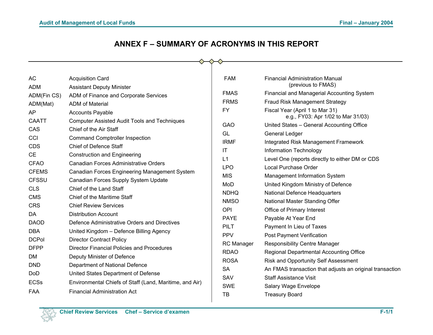# **ANNEX F – SUMMARY OF ACRONYMS IN THIS REPORT**

| <b>AC</b>                                                                                                                                                                                                                                         | <b>Acquisition Card</b>                                                                                                                                                                                                                                                                                                                                                                                                                                                                                                                                                                                                                                                                                                                                          | <b>FAM</b>                                                                                                                                                                                                                              | <b>Financial Administration Manual</b>                                                                                                                                                                                                                                                                                                                                                                                                                                                                                                                                                                                                                                                                                                           |
|---------------------------------------------------------------------------------------------------------------------------------------------------------------------------------------------------------------------------------------------------|------------------------------------------------------------------------------------------------------------------------------------------------------------------------------------------------------------------------------------------------------------------------------------------------------------------------------------------------------------------------------------------------------------------------------------------------------------------------------------------------------------------------------------------------------------------------------------------------------------------------------------------------------------------------------------------------------------------------------------------------------------------|-----------------------------------------------------------------------------------------------------------------------------------------------------------------------------------------------------------------------------------------|--------------------------------------------------------------------------------------------------------------------------------------------------------------------------------------------------------------------------------------------------------------------------------------------------------------------------------------------------------------------------------------------------------------------------------------------------------------------------------------------------------------------------------------------------------------------------------------------------------------------------------------------------------------------------------------------------------------------------------------------------|
| ADM<br>ADM(Fin CS)<br>ADM(Mat)<br>AP<br><b>CAATT</b><br>CAS<br>CCI<br><b>CDS</b><br><b>CE</b><br><b>CFAO</b><br><b>CFEMS</b><br><b>CFSSU</b><br><b>CLS</b><br><b>CMS</b><br><b>CRS</b><br>DA<br><b>DAOD</b><br>DBA<br><b>DCPol</b><br><b>DFPP</b> | <b>Assistant Deputy Minister</b><br>ADM of Finance and Corporate Services<br>ADM of Material<br><b>Accounts Payable</b><br><b>Computer Assisted Audit Tools and Techniques</b><br>Chief of the Air Staff<br><b>Command Comptroller Inspection</b><br><b>Chief of Defence Staff</b><br><b>Construction and Engineering</b><br>Canadian Forces Administrative Orders<br>Canadian Forces Engineering Management System<br>Canadian Forces Supply System Update<br>Chief of the Land Staff<br>Chief of the Maritime Staff<br><b>Chief Review Services</b><br><b>Distribution Account</b><br>Defence Administrative Orders and Directives<br>United Kingdom - Defence Billing Agency<br><b>Director Contract Policy</b><br>Director Financial Policies and Procedures | <b>FMAS</b><br><b>FRMS</b><br>FY<br><b>GAO</b><br>GL<br><b>IRMF</b><br>IT<br>L1<br><b>LPO</b><br><b>MIS</b><br>MoD<br><b>NDHQ</b><br><b>NMSO</b><br><b>OPI</b><br><b>PAYE</b><br><b>PILT</b><br><b>PPV</b><br>RC Manager<br><b>RDAO</b> | (previous to FMAS)<br>Financial and Managerial Accounting System<br>Fraud Risk Management Strategy<br>Fiscal Year (April 1 to Mar 31)<br>e.g., FY03: Apr 1/02 to Mar 31/03)<br>United States - General Accounting Office<br>General Ledger<br>Integrated Risk Management Framework<br>Information Technology<br>Level One (reports directly to either DM or CDS<br>Local Purchase Order<br>Management Information System<br>United Kingdom Ministry of Defence<br><b>National Defence Headquarters</b><br>National Master Standing Offer<br>Office of Primary Interest<br>Payable At Year End<br>Payment In Lieu of Taxes<br><b>Post Payment Verification</b><br><b>Responsibility Centre Manager</b><br>Regional Departmental Accounting Office |
| <b>DM</b><br><b>DND</b><br><b>DoD</b><br><b>ECSs</b><br>FAA                                                                                                                                                                                       | Deputy Minister of Defence<br>Department of National Defence<br>United States Department of Defense<br>Environmental Chiefs of Staff (Land, Maritime, and Air)<br><b>Financial Administration Act</b>                                                                                                                                                                                                                                                                                                                                                                                                                                                                                                                                                            | <b>ROSA</b><br><b>SA</b><br>SAV<br><b>SWE</b><br>TB                                                                                                                                                                                     | Risk and Opportunity Self Assessment<br>An FMAS transaction that adjusts an original transaction<br><b>Staff Assistance Visit</b><br>Salary Wage Envelope<br><b>Treasury Board</b>                                                                                                                                                                                                                                                                                                                                                                                                                                                                                                                                                               |
|                                                                                                                                                                                                                                                   |                                                                                                                                                                                                                                                                                                                                                                                                                                                                                                                                                                                                                                                                                                                                                                  |                                                                                                                                                                                                                                         |                                                                                                                                                                                                                                                                                                                                                                                                                                                                                                                                                                                                                                                                                                                                                  |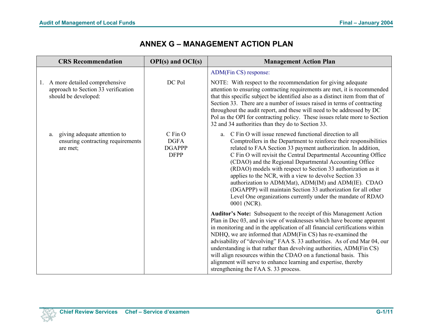# **ANNEX G – MANAGEMENT ACTION PLAN**

| <b>CRS</b> Recommendation                                                                          | $OPI(s)$ and $OCI(s)$                                  | <b>Management Action Plan</b>                                                                                                                                                                                                                                                                                                                                                                                                                                                                                                                                                                                                                                    |
|----------------------------------------------------------------------------------------------------|--------------------------------------------------------|------------------------------------------------------------------------------------------------------------------------------------------------------------------------------------------------------------------------------------------------------------------------------------------------------------------------------------------------------------------------------------------------------------------------------------------------------------------------------------------------------------------------------------------------------------------------------------------------------------------------------------------------------------------|
|                                                                                                    |                                                        | ADM(Fin CS) response:                                                                                                                                                                                                                                                                                                                                                                                                                                                                                                                                                                                                                                            |
| A more detailed comprehensive<br>1.<br>approach to Section 33 verification<br>should be developed: | DC Pol                                                 | NOTE: With respect to the recommendation for giving adequate<br>attention to ensuring contracting requirements are met, it is recommended<br>that this specific subject be identified also as a distinct item from that of<br>Section 33. There are a number of issues raised in terms of contracting<br>throughout the audit report, and these will need to be addressed by DC<br>Pol as the OPI for contracting policy. These issues relate more to Section<br>32 and 34 authorities than they do to Section 33.                                                                                                                                               |
| giving adequate attention to<br>a.<br>ensuring contracting requirements<br>are met:                | C Fin O<br><b>DGFA</b><br><b>DGAPPP</b><br><b>DFPP</b> | C Fin O will issue renewed functional direction to all<br>a.<br>Comptrollers in the Department to reinforce their responsibilities<br>related to FAA Section 33 payment authorization. In addition,<br>C Fin O will revisit the Central Departmental Accounting Office<br>(CDAO) and the Regional Departmental Accounting Office<br>(RDAO) models with respect to Section 33 authorization as it<br>applies to the NCR, with a view to devolve Section 33<br>authorization to ADM(Mat), ADM(IM) and ADM(IE). CDAO<br>(DGAPPP) will maintain Section 33 authorization for all other<br>Level One organizations currently under the mandate of RDAO<br>0001 (NCR). |
|                                                                                                    |                                                        | Auditor's Note: Subsequent to the receipt of this Management Action<br>Plan in Dec 03, and in view of weaknesses which have become apparent<br>in monitoring and in the application of all financial certifications within<br>NDHQ, we are informed that ADM(Fin CS) has re-examined the<br>advisability of "devolving" FAA S. 33 authorities. As of end Mar 04, our<br>understanding is that rather than devolving authorities, ADM(Fin CS)<br>will align resources within the CDAO on a functional basis. This<br>alignment will serve to enhance learning and expertise, thereby<br>strengthening the FAA S. 33 process.                                      |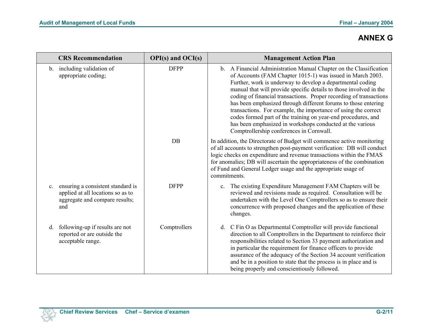|                | <b>CRS</b> Recommendation                                                                                       | $OPI(s)$ and $OCI(s)$ | <b>Management Action Plan</b>                                                                                                                                                                                                                                                                                                                                                                                                                                                                                                                                                                                                                            |
|----------------|-----------------------------------------------------------------------------------------------------------------|-----------------------|----------------------------------------------------------------------------------------------------------------------------------------------------------------------------------------------------------------------------------------------------------------------------------------------------------------------------------------------------------------------------------------------------------------------------------------------------------------------------------------------------------------------------------------------------------------------------------------------------------------------------------------------------------|
|                | b. including validation of<br>appropriate coding;                                                               | <b>DFPP</b>           | b. A Financial Administration Manual Chapter on the Classification<br>of Accounts (FAM Chapter 1015-1) was issued in March 2003.<br>Further, work is underway to develop a departmental coding<br>manual that will provide specific details to those involved in the<br>coding of financial transactions. Proper recording of transactions<br>has been emphasized through different forums to those entering<br>transactions. For example, the importance of using the correct<br>codes formed part of the training on year-end procedures, and<br>has been emphasized in workshops conducted at the various<br>Comptrollership conferences in Cornwall. |
|                |                                                                                                                 | DB                    | In addition, the Directorate of Budget will commence active monitoring<br>of all accounts to strengthen post-payment verification: DB will conduct<br>logic checks on expenditure and revenue transactions within the FMAS<br>for anomalies; DB will ascertain the appropriateness of the combination<br>of Fund and General Ledger usage and the appropriate usage of<br>commitments.                                                                                                                                                                                                                                                                   |
| $\mathbf{c}$ . | ensuring a consistent standard is<br>applied at all locations so as to<br>aggregate and compare results;<br>and | <b>DFPP</b>           | c. The existing Expenditure Management FAM Chapters will be<br>reviewed and revisions made as required. Consultation will be<br>undertaken with the Level One Comptrollers so as to ensure their<br>concurrence with proposed changes and the application of these<br>changes.                                                                                                                                                                                                                                                                                                                                                                           |
| d.             | following-up if results are not<br>reported or are outside the<br>acceptable range.                             | Comptrollers          | d. C Fin O as Departmental Comptroller will provide functional<br>direction to all Comptrollers in the Department to reinforce their<br>responsibilities related to Section 33 payment authorization and<br>in particular the requirement for finance officers to provide<br>assurance of the adequacy of the Section 34 account verification<br>and be in a position to state that the process is in place and is<br>being properly and conscientiously followed.                                                                                                                                                                                       |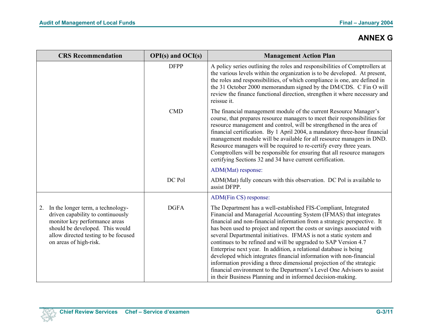| <b>CRS</b> Recommendation                                                                                                                                                                                          | $OPI(s)$ and $OCI(s)$ | <b>Management Action Plan</b>                                                                                                                                                                                                                                                                                                                                                                                                                                                                                                                                                                                                                                                                                                                                                                        |
|--------------------------------------------------------------------------------------------------------------------------------------------------------------------------------------------------------------------|-----------------------|------------------------------------------------------------------------------------------------------------------------------------------------------------------------------------------------------------------------------------------------------------------------------------------------------------------------------------------------------------------------------------------------------------------------------------------------------------------------------------------------------------------------------------------------------------------------------------------------------------------------------------------------------------------------------------------------------------------------------------------------------------------------------------------------------|
|                                                                                                                                                                                                                    | <b>DFPP</b>           | A policy series outlining the roles and responsibilities of Comptrollers at<br>the various levels within the organization is to be developed. At present,<br>the roles and responsibilities, of which compliance is one, are defined in<br>the 31 October 2000 memorandum signed by the DM/CDS. C Fin O will<br>review the finance functional direction, strengthen it where necessary and<br>reissue it.                                                                                                                                                                                                                                                                                                                                                                                            |
|                                                                                                                                                                                                                    | <b>CMD</b>            | The financial management module of the current Resource Manager's<br>course, that prepares resource managers to meet their responsibilities for<br>resource management and control, will be strengthened in the area of<br>financial certification. By 1 April 2004, a mandatory three-hour financial<br>management module will be available for all resource managers in DND.<br>Resource managers will be required to re-certify every three years.<br>Comptrollers will be responsible for ensuring that all resource managers<br>certifying Sections 32 and 34 have current certification.                                                                                                                                                                                                       |
|                                                                                                                                                                                                                    |                       | ADM(Mat) response:                                                                                                                                                                                                                                                                                                                                                                                                                                                                                                                                                                                                                                                                                                                                                                                   |
|                                                                                                                                                                                                                    | DC Pol                | ADM(Mat) fully concurs with this observation. DC Pol is available to<br>assist DFPP.                                                                                                                                                                                                                                                                                                                                                                                                                                                                                                                                                                                                                                                                                                                 |
|                                                                                                                                                                                                                    |                       | ADM(Fin CS) response:                                                                                                                                                                                                                                                                                                                                                                                                                                                                                                                                                                                                                                                                                                                                                                                |
| In the longer term, a technology-<br>2.<br>driven capability to continuously<br>monitor key performance areas<br>should be developed. This would<br>allow directed testing to be focused<br>on areas of high-risk. | <b>DGFA</b>           | The Department has a well-established FIS-Compliant, Integrated<br>Financial and Managerial Accounting System (IFMAS) that integrates<br>financial and non-financial information from a strategic perspective. It<br>has been used to project and report the costs or savings associated with<br>several Departmental initiatives. IFMAS is not a static system and<br>continues to be refined and will be upgraded to SAP Version 4.7<br>Enterprise next year. In addition, a relational database is being<br>developed which integrates financial information with non-financial<br>information providing a three dimensional projection of the strategic<br>financial environment to the Department's Level One Advisors to assist<br>in their Business Planning and in informed decision-making. |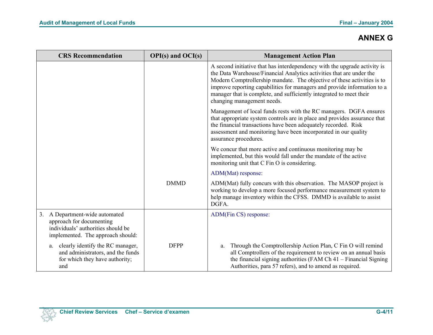|    | <b>CRS</b> Recommendation                                                                                                          | $OPI(s)$ and $OCI(s)$ | <b>Management Action Plan</b>                                                                                                                                                                                                                                                                                                                                                                                 |
|----|------------------------------------------------------------------------------------------------------------------------------------|-----------------------|---------------------------------------------------------------------------------------------------------------------------------------------------------------------------------------------------------------------------------------------------------------------------------------------------------------------------------------------------------------------------------------------------------------|
|    |                                                                                                                                    |                       | A second initiative that has interdependency with the upgrade activity is<br>the Data Warehouse/Financial Analytics activities that are under the<br>Modern Comptrollership mandate. The objective of these activities is to<br>improve reporting capabilities for managers and provide information to a<br>manager that is complete, and sufficiently integrated to meet their<br>changing management needs. |
|    |                                                                                                                                    |                       | Management of local funds rests with the RC managers. DGFA ensures<br>that appropriate system controls are in place and provides assurance that<br>the financial transactions have been adequately recorded. Risk<br>assessment and monitoring have been incorporated in our quality<br>assurance procedures.                                                                                                 |
|    |                                                                                                                                    |                       | We concur that more active and continuous monitoring may be<br>implemented, but this would fall under the mandate of the active<br>monitoring unit that C Fin O is considering.                                                                                                                                                                                                                               |
|    |                                                                                                                                    |                       | ADM(Mat) response:                                                                                                                                                                                                                                                                                                                                                                                            |
|    |                                                                                                                                    | <b>DMMD</b>           | ADM(Mat) fully concurs with this observation. The MASOP project is<br>working to develop a more focused performance measurement system to<br>help manage inventory within the CFSS. DMMD is available to assist<br>DGFA.                                                                                                                                                                                      |
| 3. | A Department-wide automated<br>approach for documenting<br>individuals' authorities should be<br>implemented. The approach should: |                       | ADM(Fin CS) response:                                                                                                                                                                                                                                                                                                                                                                                         |
|    | clearly identify the RC manager,<br>a.<br>and administrators, and the funds<br>for which they have authority;<br>and               | <b>DFPP</b>           | Through the Comptrollership Action Plan, C Fin O will remind<br>a.<br>all Comptrollers of the requirement to review on an annual basis<br>the financial signing authorities (FAM Ch 41 – Financial Signing<br>Authorities, para 57 refers), and to amend as required.                                                                                                                                         |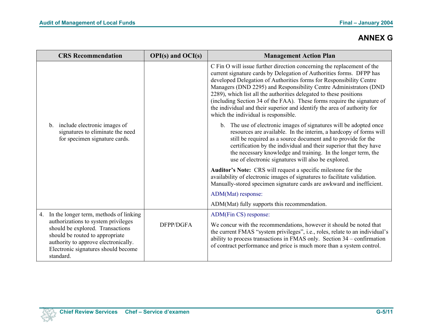|    | <b>CRS Recommendation</b>                                                                                                                                                                                                                        | $OPI(s)$ and $OCI(s)$ | <b>Management Action Plan</b>                                                                                                                                                                                                                                                                                                                                                                                                                                                                                                                                   |
|----|--------------------------------------------------------------------------------------------------------------------------------------------------------------------------------------------------------------------------------------------------|-----------------------|-----------------------------------------------------------------------------------------------------------------------------------------------------------------------------------------------------------------------------------------------------------------------------------------------------------------------------------------------------------------------------------------------------------------------------------------------------------------------------------------------------------------------------------------------------------------|
|    |                                                                                                                                                                                                                                                  |                       | C Fin O will issue further direction concerning the replacement of the<br>current signature cards by Delegation of Authorities forms. DFPP has<br>developed Delegation of Authorities forms for Responsibility Centre<br>Managers (DND 2295) and Responsibility Centre Administrators (DND<br>2289), which list all the authorities delegated to these positions<br>(including Section 34 of the FAA). These forms require the signature of<br>the individual and their superior and identify the area of authority for<br>which the individual is responsible. |
|    | include electronic images of<br>$b_{-}$<br>signatures to eliminate the need<br>for specimen signature cards.                                                                                                                                     |                       | b. The use of electronic images of signatures will be adopted once<br>resources are available. In the interim, a hardcopy of forms will<br>still be required as a source document and to provide for the<br>certification by the individual and their superior that they have<br>the necessary knowledge and training. In the longer term, the<br>use of electronic signatures will also be explored.                                                                                                                                                           |
|    |                                                                                                                                                                                                                                                  |                       | Auditor's Note: CRS will request a specific milestone for the<br>availability of electronic images of signatures to facilitate validation.<br>Manually-stored specimen signature cards are awkward and inefficient.                                                                                                                                                                                                                                                                                                                                             |
|    |                                                                                                                                                                                                                                                  |                       | ADM(Mat) response:                                                                                                                                                                                                                                                                                                                                                                                                                                                                                                                                              |
|    |                                                                                                                                                                                                                                                  |                       | ADM(Mat) fully supports this recommendation.                                                                                                                                                                                                                                                                                                                                                                                                                                                                                                                    |
| 4. | In the longer term, methods of linking<br>authorizations to system privileges<br>should be explored. Transactions<br>should be routed to appropriate<br>authority to approve electronically.<br>Electronic signatures should become<br>standard. | DFPP/DGFA             | ADM(Fin CS) response:<br>We concur with the recommendations, however it should be noted that<br>the current FMAS "system privileges", i.e., roles, relate to an individual's<br>ability to process transactions in FMAS only. Section 34 - confirmation<br>of contract performance and price is much more than a system control.                                                                                                                                                                                                                                |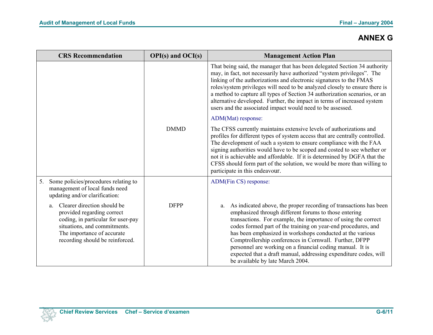| <b>CRS</b> Recommendation                                                                                                                                                                              | $OPI(s)$ and $OCI(s)$ | <b>Management Action Plan</b>                                                                                                                                                                                                                                                                                                                                                                                                                                                                                                                                   |
|--------------------------------------------------------------------------------------------------------------------------------------------------------------------------------------------------------|-----------------------|-----------------------------------------------------------------------------------------------------------------------------------------------------------------------------------------------------------------------------------------------------------------------------------------------------------------------------------------------------------------------------------------------------------------------------------------------------------------------------------------------------------------------------------------------------------------|
|                                                                                                                                                                                                        |                       | That being said, the manager that has been delegated Section 34 authority<br>may, in fact, not necessarily have authorized "system privileges". The<br>linking of the authorizations and electronic signatures to the FMAS<br>roles/system privileges will need to be analyzed closely to ensure there is<br>a method to capture all types of Section 34 authorization scenarios, or an<br>alternative developed. Further, the impact in terms of increased system<br>users and the associated impact would need to be assessed.                                |
|                                                                                                                                                                                                        |                       | ADM(Mat) response:                                                                                                                                                                                                                                                                                                                                                                                                                                                                                                                                              |
|                                                                                                                                                                                                        | <b>DMMD</b>           | The CFSS currently maintains extensive levels of authorizations and<br>profiles for different types of system access that are centrally controlled.<br>The development of such a system to ensure compliance with the FAA<br>signing authorities would have to be scoped and costed to see whether or<br>not it is achievable and affordable. If it is determined by DGFA that the<br>CFSS should form part of the solution, we would be more than willing to<br>participate in this endeavour.                                                                 |
| 5.<br>Some policies/procedures relating to<br>management of local funds need<br>updating and/or clarification:                                                                                         |                       | ADM(Fin CS) response:                                                                                                                                                                                                                                                                                                                                                                                                                                                                                                                                           |
| Clearer direction should be<br>a.<br>provided regarding correct<br>coding, in particular for user-pay<br>situations, and commitments.<br>The importance of accurate<br>recording should be reinforced. | <b>DFPP</b>           | As indicated above, the proper recording of transactions has been<br>a.<br>emphasized through different forums to those entering<br>transactions. For example, the importance of using the correct<br>codes formed part of the training on year-end procedures, and<br>has been emphasized in workshops conducted at the various<br>Comptrollership conferences in Cornwall. Further, DFPP<br>personnel are working on a financial coding manual. It is<br>expected that a draft manual, addressing expenditure codes, will<br>be available by late March 2004. |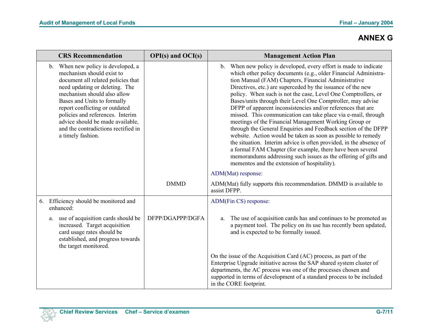|    | <b>CRS</b> Recommendation                                                                                                                                                                                                                                                                                                                                                      | $OPI(s)$ and $OCI(s)$ | <b>Management Action Plan</b>                                                                                                                                                                                                                                                                                                                                                                                                                                                                                                                                                                                                                                                                                                                                                                                                                                                                                                                                                |
|----|--------------------------------------------------------------------------------------------------------------------------------------------------------------------------------------------------------------------------------------------------------------------------------------------------------------------------------------------------------------------------------|-----------------------|------------------------------------------------------------------------------------------------------------------------------------------------------------------------------------------------------------------------------------------------------------------------------------------------------------------------------------------------------------------------------------------------------------------------------------------------------------------------------------------------------------------------------------------------------------------------------------------------------------------------------------------------------------------------------------------------------------------------------------------------------------------------------------------------------------------------------------------------------------------------------------------------------------------------------------------------------------------------------|
|    | When new policy is developed, a<br>b.<br>mechanism should exist to<br>document all related policies that<br>need updating or deleting. The<br>mechanism should also allow<br>Bases and Units to formally<br>report conflicting or outdated<br>policies and references. Interim<br>advice should be made available,<br>and the contradictions rectified in<br>a timely fashion. |                       | b. When new policy is developed, every effort is made to indicate<br>which other policy documents (e.g., older Financial Administra-<br>tion Manual (FAM) Chapters, Financial Administrative<br>Directives, etc.) are superceded by the issuance of the new<br>policy. When such is not the case, Level One Comptrollers, or<br>Bases/units through their Level One Comptroller, may advise<br>DFPP of apparent inconsistencies and/or references that are<br>missed. This communication can take place via e-mail, through<br>meetings of the Financial Management Working Group or<br>through the General Enquiries and Feedback section of the DFPP<br>website. Action would be taken as soon as possible to remedy<br>the situation. Interim advice is often provided, in the absence of<br>a formal FAM Chapter (for example, there have been several<br>memorandums addressing such issues as the offering of gifts and<br>mementos and the extension of hospitality). |
|    |                                                                                                                                                                                                                                                                                                                                                                                |                       | ADM(Mat) response:                                                                                                                                                                                                                                                                                                                                                                                                                                                                                                                                                                                                                                                                                                                                                                                                                                                                                                                                                           |
|    |                                                                                                                                                                                                                                                                                                                                                                                | <b>DMMD</b>           | ADM(Mat) fully supports this recommendation. DMMD is available to<br>assist DFPP.                                                                                                                                                                                                                                                                                                                                                                                                                                                                                                                                                                                                                                                                                                                                                                                                                                                                                            |
| 6. | Efficiency should be monitored and<br>enhanced:                                                                                                                                                                                                                                                                                                                                |                       | ADM(Fin CS) response:                                                                                                                                                                                                                                                                                                                                                                                                                                                                                                                                                                                                                                                                                                                                                                                                                                                                                                                                                        |
|    | use of acquisition cards should be<br>a.<br>increased. Target acquisition<br>card usage rates should be<br>established, and progress towards<br>the target monitored.                                                                                                                                                                                                          | DFPP/DGAPPP/DGFA      | The use of acquisition cards has and continues to be promoted as<br>a.<br>a payment tool. The policy on its use has recently been updated,<br>and is expected to be formally issued.                                                                                                                                                                                                                                                                                                                                                                                                                                                                                                                                                                                                                                                                                                                                                                                         |
|    |                                                                                                                                                                                                                                                                                                                                                                                |                       | On the issue of the Acquisition Card (AC) process, as part of the<br>Enterprise Upgrade initiative across the SAP shared system cluster of<br>departments, the AC process was one of the processes chosen and<br>supported in terms of development of a standard process to be included<br>in the CORE footprint.                                                                                                                                                                                                                                                                                                                                                                                                                                                                                                                                                                                                                                                            |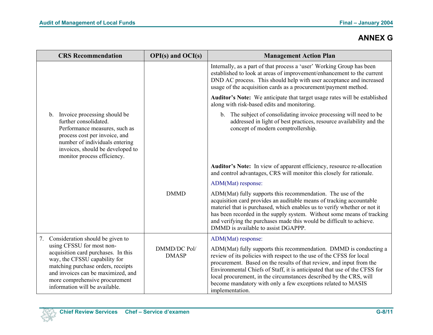|    | <b>CRS</b> Recommendation                                                                                                                                                                                                                         | $OPI(s)$ and $OCI(s)$        | <b>Management Action Plan</b>                                                                                                                                                                                                                                                                                                                                                                                                                           |
|----|---------------------------------------------------------------------------------------------------------------------------------------------------------------------------------------------------------------------------------------------------|------------------------------|---------------------------------------------------------------------------------------------------------------------------------------------------------------------------------------------------------------------------------------------------------------------------------------------------------------------------------------------------------------------------------------------------------------------------------------------------------|
|    |                                                                                                                                                                                                                                                   |                              | Internally, as a part of that process a 'user' Working Group has been<br>established to look at areas of improvement/enhancement to the current<br>DND AC process. This should help with user acceptance and increased<br>usage of the acquisition cards as a procurement/payment method.                                                                                                                                                               |
|    |                                                                                                                                                                                                                                                   |                              | Auditor's Note: We anticipate that target usage rates will be established<br>along with risk-based edits and monitoring.                                                                                                                                                                                                                                                                                                                                |
|    | b. Invoice processing should be<br>further consolidated.<br>Performance measures, such as<br>process cost per invoice, and<br>number of individuals entering<br>invoices, should be developed to<br>monitor process efficiency.                   |                              | b. The subject of consolidating invoice processing will need to be<br>addressed in light of best practices, resource availability and the<br>concept of modern comptrollership.                                                                                                                                                                                                                                                                         |
|    |                                                                                                                                                                                                                                                   |                              | Auditor's Note: In view of apparent efficiency, resource re-allocation<br>and control advantages, CRS will monitor this closely for rationale.                                                                                                                                                                                                                                                                                                          |
|    |                                                                                                                                                                                                                                                   |                              | ADM(Mat) response:                                                                                                                                                                                                                                                                                                                                                                                                                                      |
|    |                                                                                                                                                                                                                                                   | <b>DMMD</b>                  | ADM(Mat) fully supports this recommendation. The use of the<br>acquisition card provides an auditable means of tracking accountable<br>materiel that is purchased, which enables us to verify whether or not it<br>has been recorded in the supply system. Without some means of tracking<br>and verifying the purchases made this would be difficult to achieve.<br>DMMD is available to assist DGAPPP.                                                |
| 7. | Consideration should be given to                                                                                                                                                                                                                  |                              | ADM(Mat) response:                                                                                                                                                                                                                                                                                                                                                                                                                                      |
|    | using CFSSU for most non-<br>acquisition card purchases. In this<br>way, the CFSSU capability for<br>matching purchase orders, receipts<br>and invoices can be maximized, and<br>more comprehensive procurement<br>information will be available. | DMMD/DC Pol/<br><b>DMASP</b> | ADM(Mat) fully supports this recommendation. DMMD is conducting a<br>review of its policies with respect to the use of the CFSS for local<br>procurement. Based on the results of that review, and input from the<br>Environmental Chiefs of Staff, it is anticipated that use of the CFSS for<br>local procurement, in the circumstances described by the CRS, will<br>become mandatory with only a few exceptions related to MASIS<br>implementation. |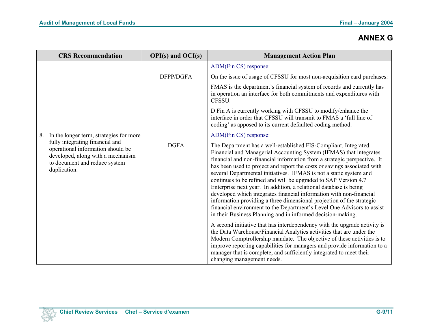| <b>CRS</b> Recommendation                                                                                                                                                                                   | $OPI(s)$ and $OCI(s)$ | <b>Management Action Plan</b>                                                                                                                                                                                                                                                                                                                                                                                                                                                                                                                                                                                                                                                                                                                                                                                                 |
|-------------------------------------------------------------------------------------------------------------------------------------------------------------------------------------------------------------|-----------------------|-------------------------------------------------------------------------------------------------------------------------------------------------------------------------------------------------------------------------------------------------------------------------------------------------------------------------------------------------------------------------------------------------------------------------------------------------------------------------------------------------------------------------------------------------------------------------------------------------------------------------------------------------------------------------------------------------------------------------------------------------------------------------------------------------------------------------------|
|                                                                                                                                                                                                             |                       | ADM(Fin CS) response:                                                                                                                                                                                                                                                                                                                                                                                                                                                                                                                                                                                                                                                                                                                                                                                                         |
|                                                                                                                                                                                                             | DFPP/DGFA             | On the issue of usage of CFSSU for most non-acquisition card purchases:                                                                                                                                                                                                                                                                                                                                                                                                                                                                                                                                                                                                                                                                                                                                                       |
|                                                                                                                                                                                                             |                       | FMAS is the department's financial system of records and currently has<br>in operation an interface for both commitments and expenditures with<br>CFSSU.                                                                                                                                                                                                                                                                                                                                                                                                                                                                                                                                                                                                                                                                      |
|                                                                                                                                                                                                             |                       | D Fin A is currently working with CFSSU to modify/enhance the<br>interface in order that CFSSU will transmit to FMAS a 'full line of<br>coding' as apposed to its current defaulted coding method.                                                                                                                                                                                                                                                                                                                                                                                                                                                                                                                                                                                                                            |
| In the longer term, strategies for more<br>8.<br>fully integrating financial and<br>operational information should be<br>developed, along with a mechanism<br>to document and reduce system<br>duplication. | <b>DGFA</b>           | ADM(Fin CS) response:<br>The Department has a well-established FIS-Compliant, Integrated<br>Financial and Managerial Accounting System (IFMAS) that integrates<br>financial and non-financial information from a strategic perspective. It<br>has been used to project and report the costs or savings associated with<br>several Departmental initiatives. IFMAS is not a static system and<br>continues to be refined and will be upgraded to SAP Version 4.7<br>Enterprise next year. In addition, a relational database is being<br>developed which integrates financial information with non-financial<br>information providing a three dimensional projection of the strategic<br>financial environment to the Department's Level One Advisors to assist<br>in their Business Planning and in informed decision-making. |
|                                                                                                                                                                                                             |                       | A second initiative that has interdependency with the upgrade activity is<br>the Data Warehouse/Financial Analytics activities that are under the<br>Modern Comptrollership mandate. The objective of these activities is to<br>improve reporting capabilities for managers and provide information to a<br>manager that is complete, and sufficiently integrated to meet their<br>changing management needs.                                                                                                                                                                                                                                                                                                                                                                                                                 |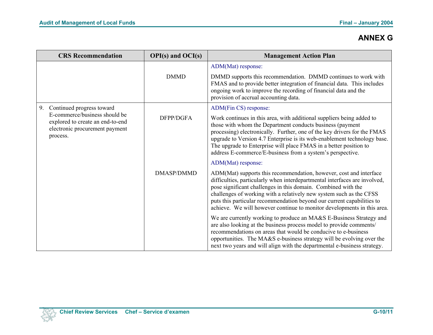| <b>CRS</b> Recommendation                                                                                                                          | $OPI(s)$ and $OCI(s)$ | <b>Management Action Plan</b>                                                                                                                                                                                                                                                                                                                                                                                                                 |
|----------------------------------------------------------------------------------------------------------------------------------------------------|-----------------------|-----------------------------------------------------------------------------------------------------------------------------------------------------------------------------------------------------------------------------------------------------------------------------------------------------------------------------------------------------------------------------------------------------------------------------------------------|
|                                                                                                                                                    |                       | ADM(Mat) response:                                                                                                                                                                                                                                                                                                                                                                                                                            |
|                                                                                                                                                    | <b>DMMD</b>           | DMMD supports this recommendation. DMMD continues to work with<br>FMAS and to provide better integration of financial data. This includes<br>ongoing work to improve the recording of financial data and the<br>provision of accrual accounting data.                                                                                                                                                                                         |
| 9.<br>Continued progress toward<br>E-commerce/business should be<br>explored to create an end-to-end<br>electronic procurement payment<br>process. |                       | ADM(Fin CS) response:                                                                                                                                                                                                                                                                                                                                                                                                                         |
|                                                                                                                                                    | DFPP/DGFA             | Work continues in this area, with additional suppliers being added to<br>those with whom the Department conducts business (payment<br>processing) electronically. Further, one of the key drivers for the FMAS<br>upgrade to Version 4.7 Enterprise is its web-enablement technology base.<br>The upgrade to Enterprise will place FMAS in a better position to<br>address E-commerce/E-business from a system's perspective.                 |
|                                                                                                                                                    |                       | ADM(Mat) response:                                                                                                                                                                                                                                                                                                                                                                                                                            |
|                                                                                                                                                    | <b>DMASP/DMMD</b>     | ADM(Mat) supports this recommendation, however, cost and interface<br>difficulties, particularly when interdepartmental interfaces are involved,<br>pose significant challenges in this domain. Combined with the<br>challenges of working with a relatively new system such as the CFSS<br>puts this particular recommendation beyond our current capabilities to<br>achieve. We will however continue to monitor developments in this area. |
|                                                                                                                                                    |                       | We are currently working to produce an MA&S E-Business Strategy and<br>are also looking at the business process model to provide comments/<br>recommendations on areas that would be conducive to e-business<br>opportunities. The MA&S e-business strategy will be evolving over the<br>next two years and will align with the departmental e-business strategy.                                                                             |